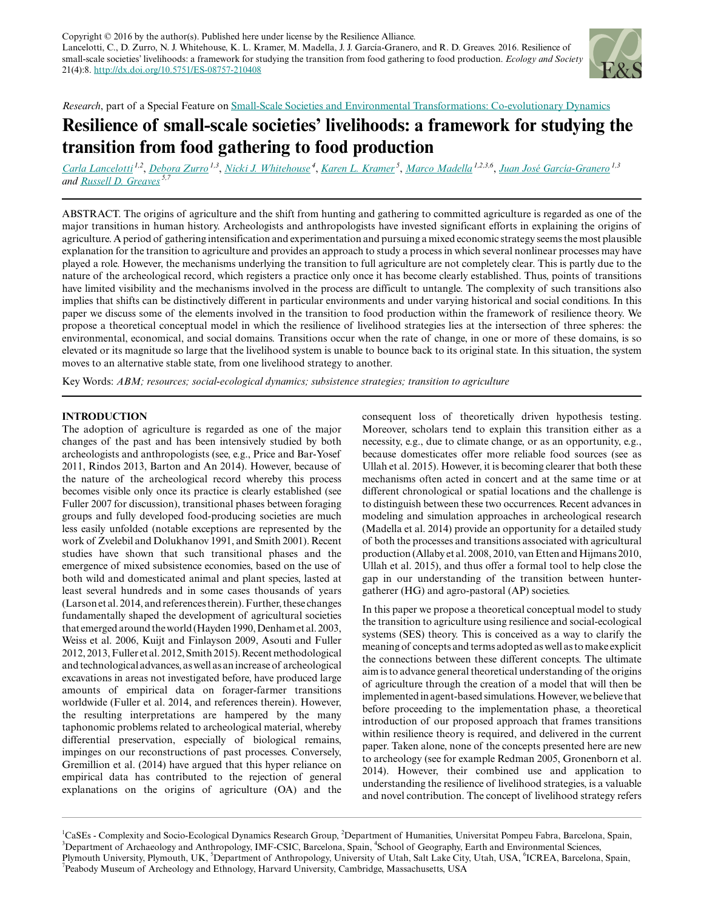Copyright  $\oslash$  2016 by the author(s). Published here under license by the Resilience Alliance. Lancelotti, C., D. Zurro, N. J. Whitehouse, K. L. Kramer, M. Madella, J. J. García-Granero, and R. D. Greaves. 2016. Resilience of small-scale societies' livelihoods: a framework for studying the transition from food gathering to food production. *Ecology and Society* 21(4):8. <http://dx.doi.org/10.5751/ES-08757-210408>



*Research*, part of a Special Feature on [Small-Scale Societies and Environmental Transformations: Co-evolutionary Dynamics](http://www.ecologyandsociety.org/viewissue.php?sf=113)

# **Resilience of small-scale societies' livelihoods: a framework for studying the transition from food gathering to food production**

*[Carla Lancelotti](mailto:carla.lancelotti@upf.edu) 1,2* , *[Debora Zurro](mailto:debora@imf.csic.es) 1,3* , *[Nicki J. Whitehouse](mailto:nicola.whitehouse@plymouth.ac.uk)<sup>4</sup>* , *[Karen L. Kramer](mailto:karen.kramer@anthro.utah.edu)<sup>5</sup>* , *[Marco Madella](mailto:marco.madella@icrea.cat) 1,2,3,6* , *[Juan José García-Granero](mailto:jjgarciagranero@yahoo.es) 1,3 and [Russell D. Greaves](mailto:russell.greaves@anthro.utah.edu)*<sup>5,7</sup>

ABSTRACT. The origins of agriculture and the shift from hunting and gathering to committed agriculture is regarded as one of the major transitions in human history. Archeologists and anthropologists have invested significant efforts in explaining the origins of agriculture. A period of gathering intensification and experimentation and pursuing a mixed economic strategy seems the most plausible explanation for the transition to agriculture and provides an approach to study a process in which several nonlinear processes may have played a role. However, the mechanisms underlying the transition to full agriculture are not completely clear. This is partly due to the nature of the archeological record, which registers a practice only once it has become clearly established. Thus, points of transitions have limited visibility and the mechanisms involved in the process are difficult to untangle. The complexity of such transitions also implies that shifts can be distinctively different in particular environments and under varying historical and social conditions. In this paper we discuss some of the elements involved in the transition to food production within the framework of resilience theory. We propose a theoretical conceptual model in which the resilience of livelihood strategies lies at the intersection of three spheres: the environmental, economical, and social domains. Transitions occur when the rate of change, in one or more of these domains, is so elevated or its magnitude so large that the livelihood system is unable to bounce back to its original state. In this situation, the system moves to an alternative stable state, from one livelihood strategy to another.

Key Words: *ABM; resources; social-ecological dynamics; subsistence strategies; transition to agriculture*

## **INTRODUCTION**

The adoption of agriculture is regarded as one of the major changes of the past and has been intensively studied by both archeologists and anthropologists (see, e.g., Price and Bar-Yosef 2011, Rindos 2013, Barton and An 2014). However, because of the nature of the archeological record whereby this process becomes visible only once its practice is clearly established (see Fuller 2007 for discussion), transitional phases between foraging groups and fully developed food-producing societies are much less easily unfolded (notable exceptions are represented by the work of Zvelebil and Dolukhanov 1991, and Smith 2001). Recent studies have shown that such transitional phases and the emergence of mixed subsistence economies, based on the use of both wild and domesticated animal and plant species, lasted at least several hundreds and in some cases thousands of years (Larson et al. 2014, and references therein). Further, these changes fundamentally shaped the development of agricultural societies that emerged around the world (Hayden 1990, Denham et al. 2003, Weiss et al. 2006, Kuijt and Finlayson 2009, Asouti and Fuller 2012, 2013, Fuller et al. 2012, Smith 2015). Recent methodological and technological advances, as well as an increase of archeological excavations in areas not investigated before, have produced large amounts of empirical data on forager-farmer transitions worldwide (Fuller et al. 2014, and references therein). However, the resulting interpretations are hampered by the many taphonomic problems related to archeological material, whereby differential preservation, especially of biological remains, impinges on our reconstructions of past processes. Conversely, Gremillion et al. (2014) have argued that this hyper reliance on empirical data has contributed to the rejection of general explanations on the origins of agriculture (OA) and the

consequent loss of theoretically driven hypothesis testing. Moreover, scholars tend to explain this transition either as a necessity, e.g., due to climate change, or as an opportunity, e.g., because domesticates offer more reliable food sources (see as Ullah et al. 2015). However, it is becoming clearer that both these mechanisms often acted in concert and at the same time or at different chronological or spatial locations and the challenge is to distinguish between these two occurrences. Recent advances in modeling and simulation approaches in archeological research (Madella et al. 2014) provide an opportunity for a detailed study of both the processes and transitions associated with agricultural production (Allaby et al. 2008, 2010, van Etten and Hijmans 2010, Ullah et al. 2015), and thus offer a formal tool to help close the gap in our understanding of the transition between huntergatherer (HG) and agro-pastoral (AP) societies.

In this paper we propose a theoretical conceptual model to study the transition to agriculture using resilience and social-ecological systems (SES) theory. This is conceived as a way to clarify the meaning of concepts and terms adopted as well as to make explicit the connections between these different concepts. The ultimate aim is to advance general theoretical understanding of the origins of agriculture through the creation of a model that will then be implemented in agent-based simulations. However, we believe that before proceeding to the implementation phase, a theoretical introduction of our proposed approach that frames transitions within resilience theory is required, and delivered in the current paper. Taken alone, none of the concepts presented here are new to archeology (see for example Redman 2005, Gronenborn et al. 2014). However, their combined use and application to understanding the resilience of livelihood strategies, is a valuable and novel contribution. The concept of livelihood strategy refers

<sup>&</sup>lt;sup>1</sup>CaSEs - Complexity and Socio-Ecological Dynamics Research Group, <sup>2</sup>Department of Humanities, Universitat Pompeu Fabra, Barcelona, Spain, <sup>3</sup>Department of Archaeology and Anthropology, IMF-CSIC, Barcelona, Spain, <sup>4</sup>School of Geography, Earth and Environmental Sciences, Plymouth University, Plymouth, UK, <sup>5</sup>Department of Anthropology, University of Utah, Salt Lake City, Utah, USA, <sup>6</sup>ICREA, Barcelona, Spain, <sup>7</sup> Peabody Museum of Archeology and Ethnology, Harvard University, Cambridge, Massachusetts, USA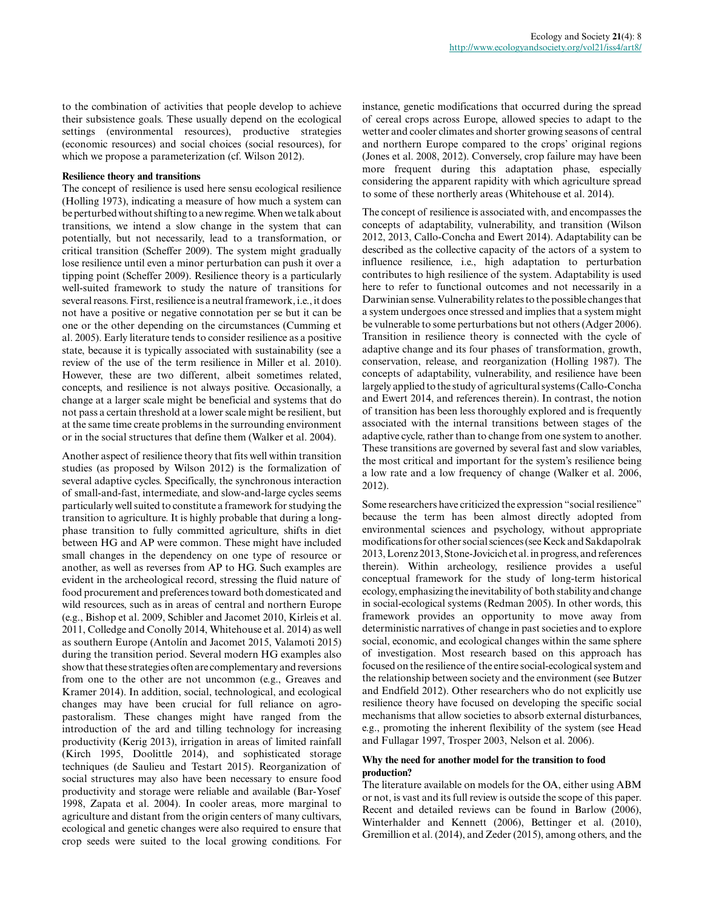to the combination of activities that people develop to achieve their subsistence goals. These usually depend on the ecological settings (environmental resources), productive strategies (economic resources) and social choices (social resources), for which we propose a parameterization (cf. Wilson 2012).

#### **Resilience theory and transitions**

The concept of resilience is used here sensu ecological resilience (Holling 1973), indicating a measure of how much a system can be perturbed without shifting to a new regime. When we talk about transitions, we intend a slow change in the system that can potentially, but not necessarily, lead to a transformation, or critical transition (Scheffer 2009). The system might gradually lose resilience until even a minor perturbation can push it over a tipping point (Scheffer 2009). Resilience theory is a particularly well-suited framework to study the nature of transitions for several reasons. First, resilience is a neutral framework, i.e., it does not have a positive or negative connotation per se but it can be one or the other depending on the circumstances (Cumming et al. 2005). Early literature tends to consider resilience as a positive state, because it is typically associated with sustainability (see a review of the use of the term resilience in Miller et al. 2010). However, these are two different, albeit sometimes related, concepts, and resilience is not always positive. Occasionally, a change at a larger scale might be beneficial and systems that do not pass a certain threshold at a lower scale might be resilient, but at the same time create problems in the surrounding environment or in the social structures that define them (Walker et al. 2004).

Another aspect of resilience theory that fits well within transition studies (as proposed by Wilson 2012) is the formalization of several adaptive cycles. Specifically, the synchronous interaction of small-and-fast, intermediate, and slow-and-large cycles seems particularly well suited to constitute a framework for studying the transition to agriculture. It is highly probable that during a longphase transition to fully committed agriculture, shifts in diet between HG and AP were common. These might have included small changes in the dependency on one type of resource or another, as well as reverses from AP to HG. Such examples are evident in the archeological record, stressing the fluid nature of food procurement and preferences toward both domesticated and wild resources, such as in areas of central and northern Europe (e.g., Bishop et al. 2009, Schibler and Jacomet 2010, Kirleis et al. 2011, Colledge and Conolly 2014, Whitehouse et al. 2014) as well as southern Europe (Antolín and Jacomet 2015, Valamoti 2015) during the transition period. Several modern HG examples also show that these strategies often are complementary and reversions from one to the other are not uncommon (e.g., Greaves and Kramer 2014). In addition, social, technological, and ecological changes may have been crucial for full reliance on agropastoralism. These changes might have ranged from the introduction of the ard and tilling technology for increasing productivity (Kerig 2013), irrigation in areas of limited rainfall (Kirch 1995, Doolittle 2014), and sophisticated storage techniques (de Saulieu and Testart 2015). Reorganization of social structures may also have been necessary to ensure food productivity and storage were reliable and available (Bar-Yosef 1998, Zapata et al. 2004). In cooler areas, more marginal to agriculture and distant from the origin centers of many cultivars, ecological and genetic changes were also required to ensure that crop seeds were suited to the local growing conditions. For

instance, genetic modifications that occurred during the spread of cereal crops across Europe, allowed species to adapt to the wetter and cooler climates and shorter growing seasons of central and northern Europe compared to the crops' original regions (Jones et al. 2008, 2012). Conversely, crop failure may have been more frequent during this adaptation phase, especially considering the apparent rapidity with which agriculture spread to some of these northerly areas (Whitehouse et al. 2014).

The concept of resilience is associated with, and encompasses the concepts of adaptability, vulnerability, and transition (Wilson 2012, 2013, Callo-Concha and Ewert 2014). Adaptability can be described as the collective capacity of the actors of a system to influence resilience, i.e., high adaptation to perturbation contributes to high resilience of the system. Adaptability is used here to refer to functional outcomes and not necessarily in a Darwinian sense. Vulnerability relates to the possible changes that a system undergoes once stressed and implies that a system might be vulnerable to some perturbations but not others (Adger 2006). Transition in resilience theory is connected with the cycle of adaptive change and its four phases of transformation, growth, conservation, release, and reorganization (Holling 1987). The concepts of adaptability, vulnerability, and resilience have been largely applied to the study of agricultural systems (Callo-Concha and Ewert 2014, and references therein). In contrast, the notion of transition has been less thoroughly explored and is frequently associated with the internal transitions between stages of the adaptive cycle, rather than to change from one system to another. These transitions are governed by several fast and slow variables, the most critical and important for the system's resilience being a low rate and a low frequency of change (Walker et al. 2006, 2012).

Some researchers have criticized the expression "social resilience" because the term has been almost directly adopted from environmental sciences and psychology, without appropriate modifications for other social sciences (see Keck and Sakdapolrak 2013, Lorenz 2013, Stone-Jovicich et al. in progress, and references therein). Within archeology, resilience provides a useful conceptual framework for the study of long-term historical ecology, emphasizing the inevitability of both stability and change in social-ecological systems (Redman 2005). In other words, this framework provides an opportunity to move away from deterministic narratives of change in past societies and to explore social, economic, and ecological changes within the same sphere of investigation. Most research based on this approach has focused on the resilience of the entire social-ecological system and the relationship between society and the environment (see Butzer and Endfield 2012). Other researchers who do not explicitly use resilience theory have focused on developing the specific social mechanisms that allow societies to absorb external disturbances, e.g., promoting the inherent flexibility of the system (see Head and Fullagar 1997, Trosper 2003, Nelson et al. 2006).

## **Why the need for another model for the transition to food production?**

The literature available on models for the OA, either using ABM or not, is vast and its full review is outside the scope of this paper. Recent and detailed reviews can be found in Barlow (2006), Winterhalder and Kennett (2006), Bettinger et al. (2010), Gremillion et al. (2014), and Zeder (2015), among others, and the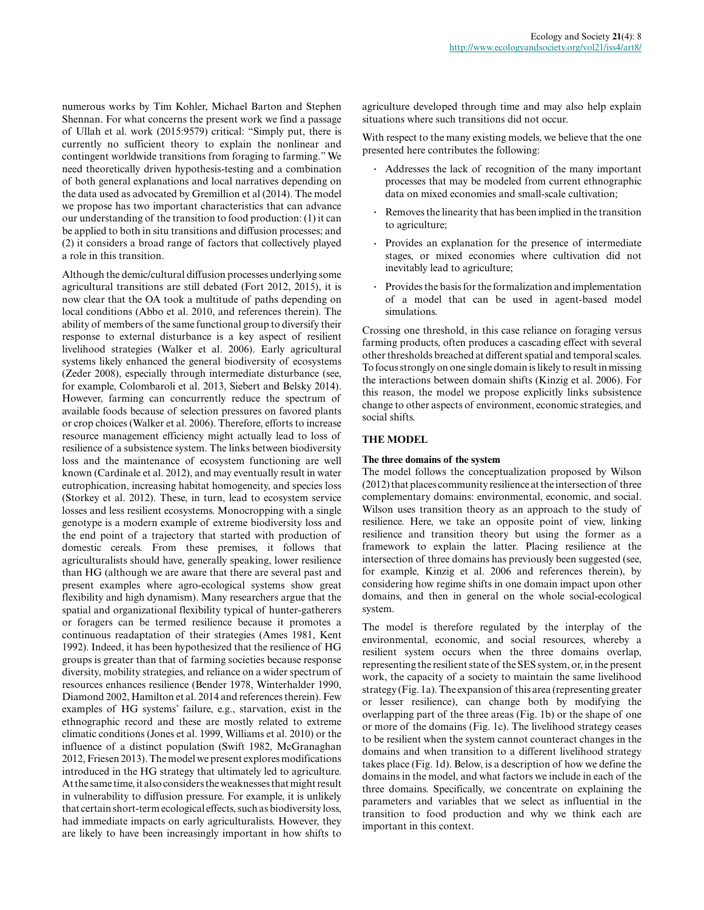numerous works by Tim Kohler, Michael Barton and Stephen Shennan. For what concerns the present work we find a passage of Ullah et al. work (2015:9579) critical: "Simply put, there is currently no sufficient theory to explain the nonlinear and contingent worldwide transitions from foraging to farming." We need theoretically driven hypothesis-testing and a combination of both general explanations and local narratives depending on the data used as advocated by Gremillion et al (2014). The model we propose has two important characteristics that can advance our understanding of the transition to food production: (1) it can be applied to both in situ transitions and diffusion processes; and (2) it considers a broad range of factors that collectively played a role in this transition.

Although the demic/cultural diffusion processes underlying some agricultural transitions are still debated (Fort 2012, 2015), it is now clear that the OA took a multitude of paths depending on local conditions (Abbo et al. 2010, and references therein). The ability of members of the same functional group to diversify their response to external disturbance is a key aspect of resilient livelihood strategies (Walker et al. 2006). Early agricultural systems likely enhanced the general biodiversity of ecosystems (Zeder 2008), especially through intermediate disturbance (see, for example, Colombaroli et al. 2013, Siebert and Belsky 2014). However, farming can concurrently reduce the spectrum of available foods because of selection pressures on favored plants or crop choices (Walker et al. 2006). Therefore, efforts to increase resource management efficiency might actually lead to loss of resilience of a subsistence system. The links between biodiversity loss and the maintenance of ecosystem functioning are well known (Cardinale et al. 2012), and may eventually result in water eutrophication, increasing habitat homogeneity, and species loss (Storkey et al. 2012). These, in turn, lead to ecosystem service losses and less resilient ecosystems. Monocropping with a single genotype is a modern example of extreme biodiversity loss and the end point of a trajectory that started with production of domestic cereals. From these premises, it follows that agriculturalists should have, generally speaking, lower resilience than HG (although we are aware that there are several past and present examples where agro-ecological systems show great flexibility and high dynamism). Many researchers argue that the spatial and organizational flexibility typical of hunter-gatherers or foragers can be termed resilience because it promotes a continuous readaptation of their strategies (Ames 1981, Kent 1992). Indeed, it has been hypothesized that the resilience of HG groups is greater than that of farming societies because response diversity, mobility strategies, and reliance on a wider spectrum of resources enhances resilience (Bender 1978, Winterhalder 1990, Diamond 2002, Hamilton et al. 2014 and references therein). Few examples of HG systems' failure, e.g., starvation, exist in the ethnographic record and these are mostly related to extreme climatic conditions (Jones et al. 1999, Williams et al. 2010) or the influence of a distinct population (Swift 1982, McGranaghan 2012, Friesen 2013). The model we present explores modifications introduced in the HG strategy that ultimately led to agriculture. At the same time, it also considers the weaknesses that might result in vulnerability to diffusion pressure. For example, it is unlikely that certain short-term ecological effects, such as biodiversity loss, had immediate impacts on early agriculturalists. However, they are likely to have been increasingly important in how shifts to

agriculture developed through time and may also help explain situations where such transitions did not occur.

With respect to the many existing models, we believe that the one presented here contributes the following:

- **.** Addresses the lack of recognition of the many important processes that may be modeled from current ethnographic data on mixed economies and small-scale cultivation;
- **.** Removes the linearity that has been implied in the transition to agriculture;
- **.** Provides an explanation for the presence of intermediate stages, or mixed economies where cultivation did not inevitably lead to agriculture;
- **.** Provides the basis for the formalization and implementation of a model that can be used in agent-based model simulations.

Crossing one threshold, in this case reliance on foraging versus farming products, often produces a cascading effect with several other thresholds breached at different spatial and temporal scales. To focus strongly on one single domain is likely to result in missing the interactions between domain shifts (Kinzig et al. 2006). For this reason, the model we propose explicitly links subsistence change to other aspects of environment, economic strategies, and social shifts.

## **THE MODEL**

## **The three domains of the system**

The model follows the conceptualization proposed by Wilson (2012) that places community resilience at the intersection of three complementary domains: environmental, economic, and social. Wilson uses transition theory as an approach to the study of resilience. Here, we take an opposite point of view, linking resilience and transition theory but using the former as a framework to explain the latter. Placing resilience at the intersection of three domains has previously been suggested (see, for example, Kinzig et al. 2006 and references therein), by considering how regime shifts in one domain impact upon other domains, and then in general on the whole social-ecological system.

The model is therefore regulated by the interplay of the environmental, economic, and social resources, whereby a resilient system occurs when the three domains overlap, representing the resilient state of the SES system, or, in the present work, the capacity of a society to maintain the same livelihood strategy (Fig. 1a). The expansion of this area (representing greater or lesser resilience), can change both by modifying the overlapping part of the three areas (Fig. 1b) or the shape of one or more of the domains (Fig. 1c). The livelihood strategy ceases to be resilient when the system cannot counteract changes in the domains and when transition to a different livelihood strategy takes place (Fig. 1d). Below, is a description of how we define the domains in the model, and what factors we include in each of the three domains. Specifically, we concentrate on explaining the parameters and variables that we select as influential in the transition to food production and why we think each are important in this context.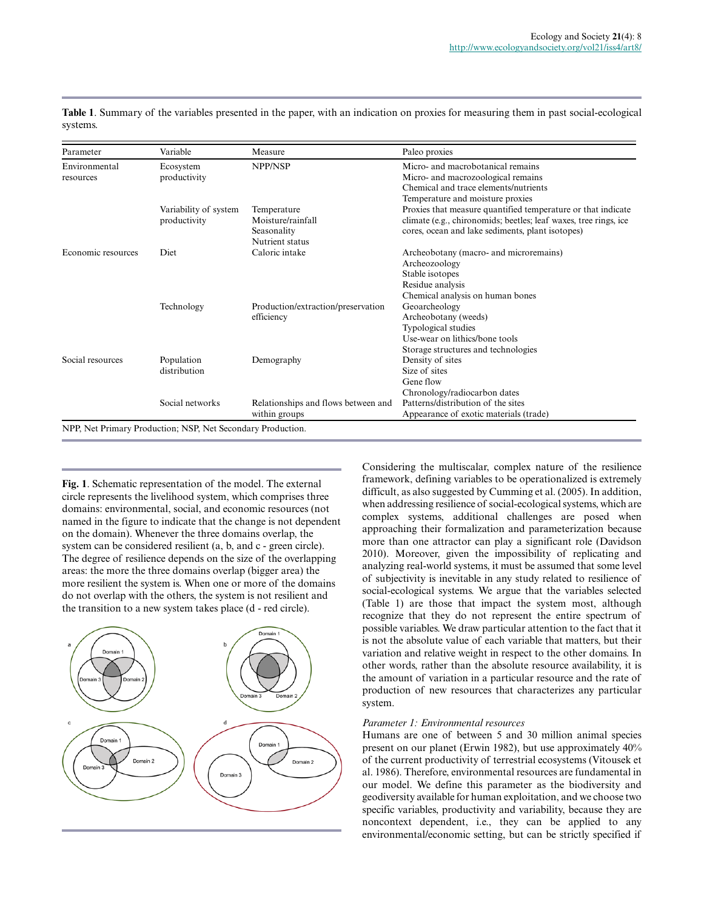| Parameter                                                   | Variable              | Measure                             | Paleo proxies                                                    |
|-------------------------------------------------------------|-----------------------|-------------------------------------|------------------------------------------------------------------|
| Environmental                                               | Ecosystem             | NPP/NSP                             | Micro- and macrobotanical remains                                |
| resources                                                   | productivity          |                                     | Micro- and macrozoological remains                               |
|                                                             |                       |                                     | Chemical and trace elements/nutrients                            |
|                                                             |                       |                                     | Temperature and moisture proxies                                 |
|                                                             | Variability of system | Temperature                         | Proxies that measure quantified temperature or that indicate     |
|                                                             | productivity          | Moisture/rainfall                   | climate (e.g., chironomids; beetles; leaf waxes, tree rings, ice |
|                                                             |                       | Seasonality                         | cores, ocean and lake sediments, plant isotopes)                 |
|                                                             |                       | Nutrient status                     |                                                                  |
| Economic resources                                          | Diet                  | Caloric intake                      | Archeobotany (macro- and microremains)                           |
|                                                             |                       |                                     | Archeozoology                                                    |
|                                                             |                       |                                     | Stable isotopes                                                  |
|                                                             |                       |                                     | Residue analysis                                                 |
|                                                             |                       |                                     | Chemical analysis on human bones                                 |
|                                                             | Technology            | Production/extraction/preservation  | Geoarcheology                                                    |
|                                                             |                       | efficiency                          | Archeobotany (weeds)                                             |
|                                                             |                       |                                     | Typological studies                                              |
|                                                             |                       |                                     | Use-wear on lithics/bone tools                                   |
|                                                             |                       |                                     | Storage structures and technologies                              |
| Social resources                                            | Population            | Demography                          | Density of sites                                                 |
|                                                             | distribution          |                                     | Size of sites                                                    |
|                                                             |                       |                                     | Gene flow                                                        |
|                                                             |                       |                                     | Chronology/radiocarbon dates                                     |
|                                                             | Social networks       | Relationships and flows between and | Patterns/distribution of the sites                               |
|                                                             |                       | within groups                       | Appearance of exotic materials (trade)                           |
| NPP, Net Primary Production; NSP, Net Secondary Production. |                       |                                     |                                                                  |
|                                                             |                       |                                     |                                                                  |

**Table 1**. Summary of the variables presented in the paper, with an indication on proxies for measuring them in past social-ecological systems.

**Fig. 1**. Schematic representation of the model. The external circle represents the livelihood system, which comprises three domains: environmental, social, and economic resources (not named in the figure to indicate that the change is not dependent on the domain). Whenever the three domains overlap, the system can be considered resilient (a, b, and c - green circle). The degree of resilience depends on the size of the overlapping areas: the more the three domains overlap (bigger area) the more resilient the system is. When one or more of the domains do not overlap with the others, the system is not resilient and the transition to a new system takes place (d - red circle).



Considering the multiscalar, complex nature of the resilience framework, defining variables to be operationalized is extremely difficult, as also suggested by Cumming et al. (2005). In addition, when addressing resilience of social-ecological systems, which are complex systems, additional challenges are posed when approaching their formalization and parameterization because more than one attractor can play a significant role (Davidson 2010). Moreover, given the impossibility of replicating and analyzing real-world systems, it must be assumed that some level of subjectivity is inevitable in any study related to resilience of social-ecological systems. We argue that the variables selected (Table 1) are those that impact the system most, although recognize that they do not represent the entire spectrum of possible variables. We draw particular attention to the fact that it is not the absolute value of each variable that matters, but their variation and relative weight in respect to the other domains. In other words, rather than the absolute resource availability, it is the amount of variation in a particular resource and the rate of production of new resources that characterizes any particular system.

# *Parameter 1: Environmental resources*

Humans are one of between 5 and 30 million animal species present on our planet (Erwin 1982), but use approximately 40% of the current productivity of terrestrial ecosystems (Vitousek et al. 1986). Therefore, environmental resources are fundamental in our model. We define this parameter as the biodiversity and geodiversity available for human exploitation, and we choose two specific variables, productivity and variability, because they are noncontext dependent, i.e., they can be applied to any environmental/economic setting, but can be strictly specified if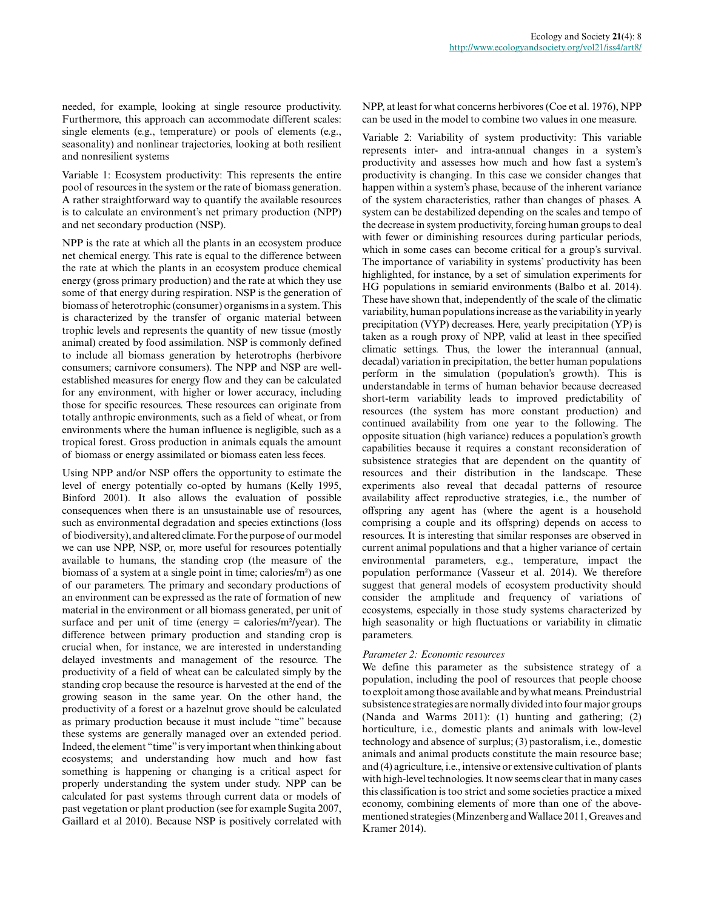needed, for example, looking at single resource productivity. Furthermore, this approach can accommodate different scales: single elements (e.g., temperature) or pools of elements (e.g., seasonality) and nonlinear trajectories, looking at both resilient and nonresilient systems

Variable 1: Ecosystem productivity: This represents the entire pool of resources in the system or the rate of biomass generation. A rather straightforward way to quantify the available resources is to calculate an environment's net primary production (NPP) and net secondary production (NSP).

NPP is the rate at which all the plants in an ecosystem produce net chemical energy. This rate is equal to the difference between the rate at which the plants in an ecosystem produce chemical energy (gross primary production) and the rate at which they use some of that energy during respiration. NSP is the generation of biomass of heterotrophic (consumer) organisms in a system. This is characterized by the transfer of organic material between trophic levels and represents the quantity of new tissue (mostly animal) created by food assimilation. NSP is commonly defined to include all biomass generation by heterotrophs (herbivore consumers; carnivore consumers). The NPP and NSP are wellestablished measures for energy flow and they can be calculated for any environment, with higher or lower accuracy, including those for specific resources. These resources can originate from totally anthropic environments, such as a field of wheat, or from environments where the human influence is negligible, such as a tropical forest. Gross production in animals equals the amount of biomass or energy assimilated or biomass eaten less feces.

Using NPP and/or NSP offers the opportunity to estimate the level of energy potentially co-opted by humans (Kelly 1995, Binford 2001). It also allows the evaluation of possible consequences when there is an unsustainable use of resources, such as environmental degradation and species extinctions (loss of biodiversity), and altered climate. For the purpose of our model we can use NPP, NSP, or, more useful for resources potentially available to humans, the standing crop (the measure of the biomass of a system at a single point in time; calories/m²) as one of our parameters. The primary and secondary productions of an environment can be expressed as the rate of formation of new material in the environment or all biomass generated, per unit of surface and per unit of time (energy  $=$  calories/m<sup>2</sup>/year). The difference between primary production and standing crop is crucial when, for instance, we are interested in understanding delayed investments and management of the resource. The productivity of a field of wheat can be calculated simply by the standing crop because the resource is harvested at the end of the growing season in the same year. On the other hand, the productivity of a forest or a hazelnut grove should be calculated as primary production because it must include "time" because these systems are generally managed over an extended period. Indeed, the element "time" is very important when thinking about ecosystems; and understanding how much and how fast something is happening or changing is a critical aspect for properly understanding the system under study. NPP can be calculated for past systems through current data or models of past vegetation or plant production (see for example Sugita 2007, Gaillard et al 2010). Because NSP is positively correlated with

NPP, at least for what concerns herbivores (Coe et al. 1976), NPP can be used in the model to combine two values in one measure.

Variable 2: Variability of system productivity: This variable represents inter- and intra-annual changes in a system's productivity and assesses how much and how fast a system's productivity is changing. In this case we consider changes that happen within a system's phase, because of the inherent variance of the system characteristics, rather than changes of phases. A system can be destabilized depending on the scales and tempo of the decrease in system productivity, forcing human groups to deal with fewer or diminishing resources during particular periods, which in some cases can become critical for a group's survival. The importance of variability in systems' productivity has been highlighted, for instance, by a set of simulation experiments for HG populations in semiarid environments (Balbo et al. 2014). These have shown that, independently of the scale of the climatic variability, human populations increase as the variability in yearly precipitation (VYP) decreases. Here, yearly precipitation (YP) is taken as a rough proxy of NPP, valid at least in thee specified climatic settings. Thus, the lower the interannual (annual, decadal) variation in precipitation, the better human populations perform in the simulation (population's growth). This is understandable in terms of human behavior because decreased short-term variability leads to improved predictability of resources (the system has more constant production) and continued availability from one year to the following. The opposite situation (high variance) reduces a population's growth capabilities because it requires a constant reconsideration of subsistence strategies that are dependent on the quantity of resources and their distribution in the landscape. These experiments also reveal that decadal patterns of resource availability affect reproductive strategies, i.e., the number of offspring any agent has (where the agent is a household comprising a couple and its offspring) depends on access to resources. It is interesting that similar responses are observed in current animal populations and that a higher variance of certain environmental parameters, e.g., temperature, impact the population performance (Vasseur et al. 2014). We therefore suggest that general models of ecosystem productivity should consider the amplitude and frequency of variations of ecosystems, especially in those study systems characterized by high seasonality or high fluctuations or variability in climatic parameters.

#### *Parameter 2: Economic resources*

We define this parameter as the subsistence strategy of a population, including the pool of resources that people choose to exploit among those available and by what means. Preindustrial subsistence strategies are normally divided into four major groups (Nanda and Warms 2011): (1) hunting and gathering; (2) horticulture, i.e., domestic plants and animals with low-level technology and absence of surplus; (3) pastoralism, i.e., domestic animals and animal products constitute the main resource base; and (4) agriculture, i.e., intensive or extensive cultivation of plants with high-level technologies. It now seems clear that in many cases this classification is too strict and some societies practice a mixed economy, combining elements of more than one of the abovementioned strategies (Minzenberg and Wallace 2011, Greaves and Kramer 2014).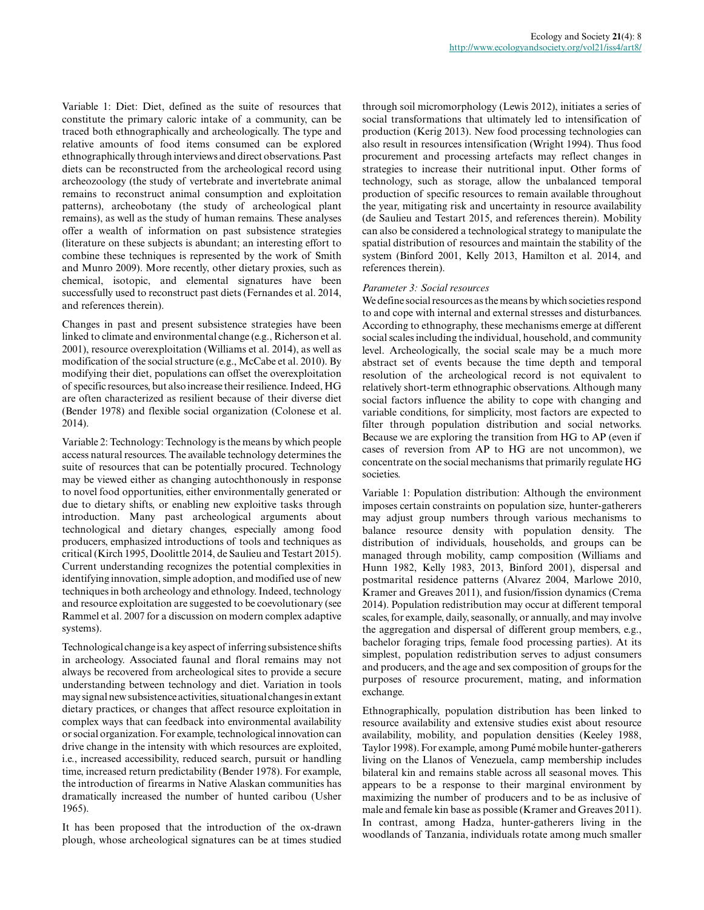Variable 1: Diet: Diet, defined as the suite of resources that constitute the primary caloric intake of a community, can be traced both ethnographically and archeologically. The type and relative amounts of food items consumed can be explored ethnographically through interviews and direct observations. Past diets can be reconstructed from the archeological record using archeozoology (the study of vertebrate and invertebrate animal remains to reconstruct animal consumption and exploitation patterns), archeobotany (the study of archeological plant remains), as well as the study of human remains. These analyses offer a wealth of information on past subsistence strategies (literature on these subjects is abundant; an interesting effort to combine these techniques is represented by the work of Smith and Munro 2009). More recently, other dietary proxies, such as chemical, isotopic, and elemental signatures have been successfully used to reconstruct past diets (Fernandes et al. 2014, and references therein).

Changes in past and present subsistence strategies have been linked to climate and environmental change (e.g., Richerson et al. 2001), resource overexploitation (Williams et al. 2014), as well as modification of the social structure (e.g., McCabe et al. 2010). By modifying their diet, populations can offset the overexploitation of specific resources, but also increase their resilience. Indeed, HG are often characterized as resilient because of their diverse diet (Bender 1978) and flexible social organization (Colonese et al. 2014).

Variable 2: Technology: Technology is the means by which people access natural resources. The available technology determines the suite of resources that can be potentially procured. Technology may be viewed either as changing autochthonously in response to novel food opportunities, either environmentally generated or due to dietary shifts, or enabling new exploitive tasks through introduction. Many past archeological arguments about technological and dietary changes, especially among food producers, emphasized introductions of tools and techniques as critical (Kirch 1995, Doolittle 2014, de Saulieu and Testart 2015). Current understanding recognizes the potential complexities in identifying innovation, simple adoption, and modified use of new techniques in both archeology and ethnology. Indeed, technology and resource exploitation are suggested to be coevolutionary (see Rammel et al. 2007 for a discussion on modern complex adaptive systems).

Technological change is a key aspect of inferring subsistence shifts in archeology. Associated faunal and floral remains may not always be recovered from archeological sites to provide a secure understanding between technology and diet. Variation in tools may signal new subsistence activities, situational changes in extant dietary practices, or changes that affect resource exploitation in complex ways that can feedback into environmental availability or social organization. For example, technological innovation can drive change in the intensity with which resources are exploited, i.e., increased accessibility, reduced search, pursuit or handling time, increased return predictability (Bender 1978). For example, the introduction of firearms in Native Alaskan communities has dramatically increased the number of hunted caribou (Usher 1965).

It has been proposed that the introduction of the ox-drawn plough, whose archeological signatures can be at times studied through soil micromorphology (Lewis 2012), initiates a series of social transformations that ultimately led to intensification of production (Kerig 2013). New food processing technologies can also result in resources intensification (Wright 1994). Thus food procurement and processing artefacts may reflect changes in strategies to increase their nutritional input. Other forms of technology, such as storage, allow the unbalanced temporal production of specific resources to remain available throughout the year, mitigating risk and uncertainty in resource availability (de Saulieu and Testart 2015, and references therein). Mobility can also be considered a technological strategy to manipulate the spatial distribution of resources and maintain the stability of the system (Binford 2001, Kelly 2013, Hamilton et al. 2014, and references therein).

## *Parameter 3: Social resources*

We define social resources as the means by which societies respond to and cope with internal and external stresses and disturbances. According to ethnography, these mechanisms emerge at different social scales including the individual, household, and community level. Archeologically, the social scale may be a much more abstract set of events because the time depth and temporal resolution of the archeological record is not equivalent to relatively short-term ethnographic observations. Although many social factors influence the ability to cope with changing and variable conditions, for simplicity, most factors are expected to filter through population distribution and social networks. Because we are exploring the transition from HG to AP (even if cases of reversion from AP to HG are not uncommon), we concentrate on the social mechanisms that primarily regulate HG societies.

Variable 1: Population distribution: Although the environment imposes certain constraints on population size, hunter-gatherers may adjust group numbers through various mechanisms to balance resource density with population density. The distribution of individuals, households, and groups can be managed through mobility, camp composition (Williams and Hunn 1982, Kelly 1983, 2013, Binford 2001), dispersal and postmarital residence patterns (Alvarez 2004, Marlowe 2010, Kramer and Greaves 2011), and fusion/fission dynamics (Crema 2014). Population redistribution may occur at different temporal scales, for example, daily, seasonally, or annually, and may involve the aggregation and dispersal of different group members, e.g., bachelor foraging trips, female food processing parties). At its simplest, population redistribution serves to adjust consumers and producers, and the age and sex composition of groups for the purposes of resource procurement, mating, and information exchange.

Ethnographically, population distribution has been linked to resource availability and extensive studies exist about resource availability, mobility, and population densities (Keeley 1988, Taylor 1998). For example, among Pumé mobile hunter-gatherers living on the Llanos of Venezuela, camp membership includes bilateral kin and remains stable across all seasonal moves. This appears to be a response to their marginal environment by maximizing the number of producers and to be as inclusive of male and female kin base as possible (Kramer and Greaves 2011). In contrast, among Hadza, hunter-gatherers living in the woodlands of Tanzania, individuals rotate among much smaller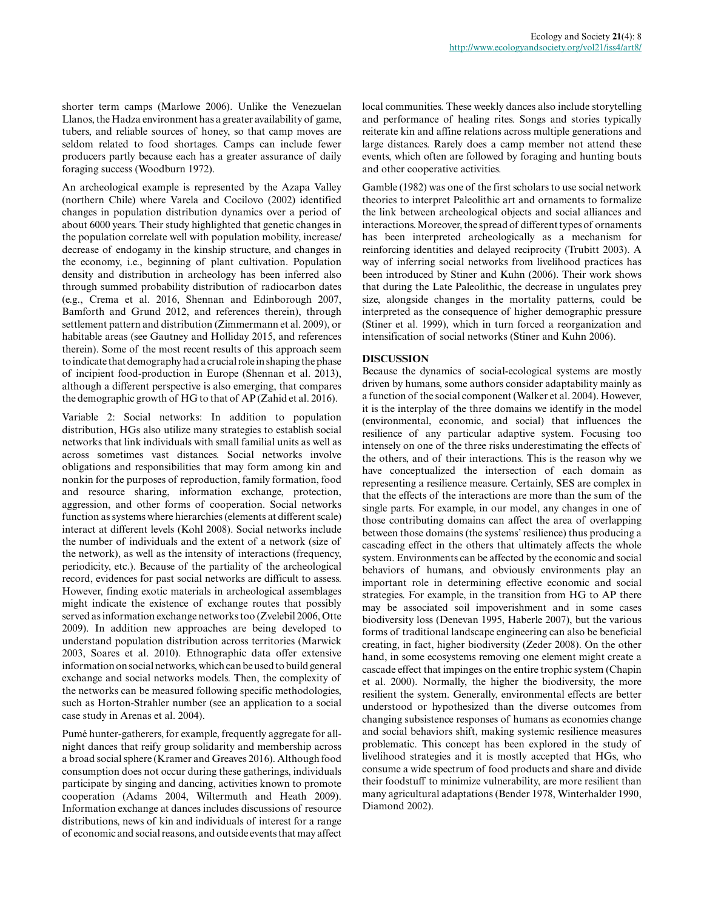shorter term camps (Marlowe 2006). Unlike the Venezuelan Llanos, the Hadza environment has a greater availability of game, tubers, and reliable sources of honey, so that camp moves are seldom related to food shortages. Camps can include fewer producers partly because each has a greater assurance of daily foraging success (Woodburn 1972).

An archeological example is represented by the Azapa Valley (northern Chile) where Varela and Cocilovo (2002) identified changes in population distribution dynamics over a period of about 6000 years. Their study highlighted that genetic changes in the population correlate well with population mobility, increase/ decrease of endogamy in the kinship structure, and changes in the economy, i.e., beginning of plant cultivation. Population density and distribution in archeology has been inferred also through summed probability distribution of radiocarbon dates (e.g., Crema et al. 2016, Shennan and Edinborough 2007, Bamforth and Grund 2012, and references therein), through settlement pattern and distribution (Zimmermann et al. 2009), or habitable areas (see Gautney and Holliday 2015, and references therein). Some of the most recent results of this approach seem to indicate that demography had a crucial role in shaping the phase of incipient food-production in Europe (Shennan et al. 2013), although a different perspective is also emerging, that compares the demographic growth of HG to that of AP (Zahid et al. 2016).

Variable 2: Social networks: In addition to population distribution, HGs also utilize many strategies to establish social networks that link individuals with small familial units as well as across sometimes vast distances. Social networks involve obligations and responsibilities that may form among kin and nonkin for the purposes of reproduction, family formation, food and resource sharing, information exchange, protection, aggression, and other forms of cooperation. Social networks function as systems where hierarchies (elements at different scale) interact at different levels (Kohl 2008). Social networks include the number of individuals and the extent of a network (size of the network), as well as the intensity of interactions (frequency, periodicity, etc.). Because of the partiality of the archeological record, evidences for past social networks are difficult to assess. However, finding exotic materials in archeological assemblages might indicate the existence of exchange routes that possibly served as information exchange networks too (Zvelebil 2006, Otte 2009). In addition new approaches are being developed to understand population distribution across territories (Marwick 2003, Soares et al. 2010). Ethnographic data offer extensive information on social networks, which can be used to build general exchange and social networks models. Then, the complexity of the networks can be measured following specific methodologies, such as Horton-Strahler number (see an application to a social case study in Arenas et al. 2004).

Pumé hunter-gatherers, for example, frequently aggregate for allnight dances that reify group solidarity and membership across a broad social sphere (Kramer and Greaves 2016). Although food consumption does not occur during these gatherings, individuals participate by singing and dancing, activities known to promote cooperation (Adams 2004, Wiltermuth and Heath 2009). Information exchange at dances includes discussions of resource distributions, news of kin and individuals of interest for a range of economic and social reasons, and outside events that may affect local communities. These weekly dances also include storytelling and performance of healing rites. Songs and stories typically reiterate kin and affine relations across multiple generations and large distances. Rarely does a camp member not attend these events, which often are followed by foraging and hunting bouts and other cooperative activities.

Gamble (1982) was one of the first scholars to use social network theories to interpret Paleolithic art and ornaments to formalize the link between archeological objects and social alliances and interactions. Moreover, the spread of different types of ornaments has been interpreted archeologically as a mechanism for reinforcing identities and delayed reciprocity (Trubitt 2003). A way of inferring social networks from livelihood practices has been introduced by Stiner and Kuhn (2006). Their work shows that during the Late Paleolithic, the decrease in ungulates prey size, alongside changes in the mortality patterns, could be interpreted as the consequence of higher demographic pressure (Stiner et al. 1999), which in turn forced a reorganization and intensification of social networks (Stiner and Kuhn 2006).

## **DISCUSSION**

Because the dynamics of social-ecological systems are mostly driven by humans, some authors consider adaptability mainly as a function of the social component (Walker et al. 2004). However, it is the interplay of the three domains we identify in the model (environmental, economic, and social) that influences the resilience of any particular adaptive system. Focusing too intensely on one of the three risks underestimating the effects of the others, and of their interactions. This is the reason why we have conceptualized the intersection of each domain as representing a resilience measure. Certainly, SES are complex in that the effects of the interactions are more than the sum of the single parts. For example, in our model, any changes in one of those contributing domains can affect the area of overlapping between those domains (the systems' resilience) thus producing a cascading effect in the others that ultimately affects the whole system. Environments can be affected by the economic and social behaviors of humans, and obviously environments play an important role in determining effective economic and social strategies. For example, in the transition from HG to AP there may be associated soil impoverishment and in some cases biodiversity loss (Denevan 1995, Haberle 2007), but the various forms of traditional landscape engineering can also be beneficial creating, in fact, higher biodiversity (Zeder 2008). On the other hand, in some ecosystems removing one element might create a cascade effect that impinges on the entire trophic system (Chapin et al. 2000). Normally, the higher the biodiversity, the more resilient the system. Generally, environmental effects are better understood or hypothesized than the diverse outcomes from changing subsistence responses of humans as economies change and social behaviors shift, making systemic resilience measures problematic. This concept has been explored in the study of livelihood strategies and it is mostly accepted that HGs, who consume a wide spectrum of food products and share and divide their foodstuff to minimize vulnerability, are more resilient than many agricultural adaptations (Bender 1978, Winterhalder 1990, Diamond 2002).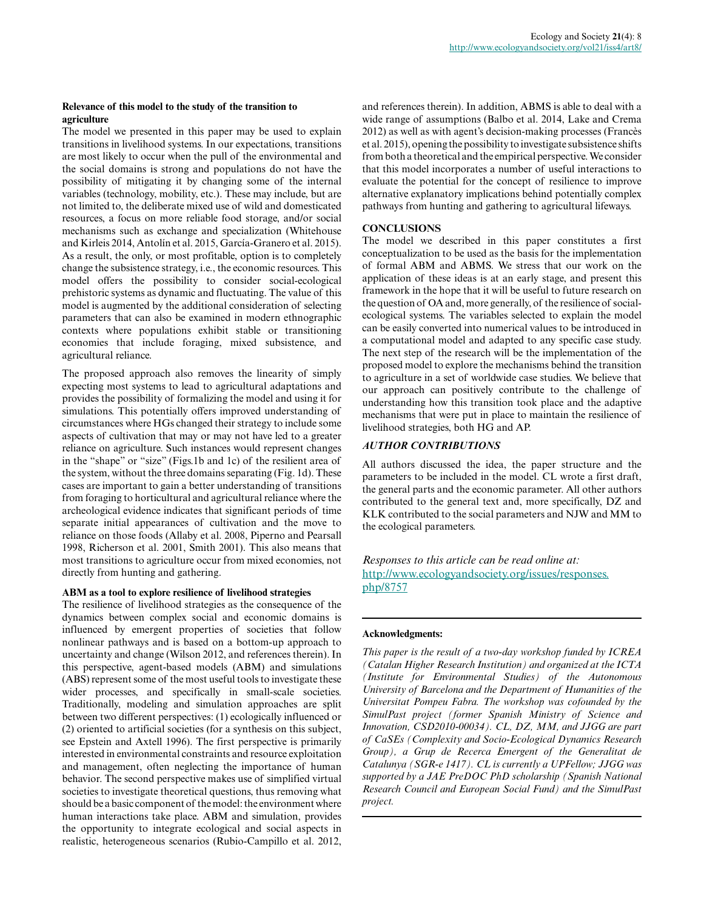#### **Relevance of this model to the study of the transition to agriculture**

The model we presented in this paper may be used to explain transitions in livelihood systems. In our expectations, transitions are most likely to occur when the pull of the environmental and the social domains is strong and populations do not have the possibility of mitigating it by changing some of the internal variables (technology, mobility, etc.). These may include, but are not limited to, the deliberate mixed use of wild and domesticated resources, a focus on more reliable food storage, and/or social mechanisms such as exchange and specialization (Whitehouse and Kirleis 2014, Antolín et al. 2015, García-Granero et al. 2015). As a result, the only, or most profitable, option is to completely change the subsistence strategy, i.e., the economic resources. This model offers the possibility to consider social-ecological prehistoric systems as dynamic and fluctuating. The value of this model is augmented by the additional consideration of selecting parameters that can also be examined in modern ethnographic contexts where populations exhibit stable or transitioning economies that include foraging, mixed subsistence, and agricultural reliance.

The proposed approach also removes the linearity of simply expecting most systems to lead to agricultural adaptations and provides the possibility of formalizing the model and using it for simulations. This potentially offers improved understanding of circumstances where HGs changed their strategy to include some aspects of cultivation that may or may not have led to a greater reliance on agriculture. Such instances would represent changes in the "shape" or "size" (Figs.1b and 1c) of the resilient area of the system, without the three domains separating (Fig. 1d). These cases are important to gain a better understanding of transitions from foraging to horticultural and agricultural reliance where the archeological evidence indicates that significant periods of time separate initial appearances of cultivation and the move to reliance on those foods (Allaby et al. 2008, Piperno and Pearsall 1998, Richerson et al. 2001, Smith 2001). This also means that most transitions to agriculture occur from mixed economies, not directly from hunting and gathering.

## **ABM as a tool to explore resilience of livelihood strategies**

The resilience of livelihood strategies as the consequence of the dynamics between complex social and economic domains is influenced by emergent properties of societies that follow nonlinear pathways and is based on a bottom-up approach to uncertainty and change (Wilson 2012, and references therein). In this perspective, agent-based models (ABM) and simulations (ABS) represent some of the most useful tools to investigate these wider processes, and specifically in small-scale societies. Traditionally, modeling and simulation approaches are split between two different perspectives: (1) ecologically influenced or (2) oriented to artificial societies (for a synthesis on this subject, see Epstein and Axtell 1996). The first perspective is primarily interested in environmental constraints and resource exploitation and management, often neglecting the importance of human behavior. The second perspective makes use of simplified virtual societies to investigate theoretical questions, thus removing what should be a basic component of the model: the environment where human interactions take place. ABM and simulation, provides the opportunity to integrate ecological and social aspects in realistic, heterogeneous scenarios (Rubio-Campillo et al. 2012,

and references therein). In addition, ABMS is able to deal with a wide range of assumptions (Balbo et al. 2014, Lake and Crema 2012) as well as with agent's decision-making processes (Francès et al. 2015), opening the possibility to investigate subsistence shifts from both a theoretical and the empirical perspective. We consider that this model incorporates a number of useful interactions to evaluate the potential for the concept of resilience to improve alternative explanatory implications behind potentially complex pathways from hunting and gathering to agricultural lifeways.

# **CONCLUSIONS**

The model we described in this paper constitutes a first conceptualization to be used as the basis for the implementation of formal ABM and ABMS. We stress that our work on the application of these ideas is at an early stage, and present this framework in the hope that it will be useful to future research on the question of OA and, more generally, of the resilience of socialecological systems. The variables selected to explain the model can be easily converted into numerical values to be introduced in a computational model and adapted to any specific case study. The next step of the research will be the implementation of the proposed model to explore the mechanisms behind the transition to agriculture in a set of worldwide case studies. We believe that our approach can positively contribute to the challenge of understanding how this transition took place and the adaptive mechanisms that were put in place to maintain the resilience of livelihood strategies, both HG and AP.

## *AUTHOR CONTRIBUTIONS*

All authors discussed the idea, the paper structure and the parameters to be included in the model. CL wrote a first draft, the general parts and the economic parameter. All other authors contributed to the general text and, more specifically, DZ and KLK contributed to the social parameters and NJW and MM to the ecological parameters.

*Responses to this article can be read online at:* [http://www.ecologyandsociety.org/issues/responses.](http://www.ecologyandsociety.org/issues/responses.php/8757) [php/8757](http://www.ecologyandsociety.org/issues/responses.php/8757)

## **Acknowledgments:**

*This paper is the result of a two-day workshop funded by ICREA (Catalan Higher Research Institution) and organized at the ICTA (Institute for Environmental Studies) of the Autonomous University of Barcelona and the Department of Humanities of the Universitat Pompeu Fabra. The workshop was cofounded by the SimulPast project (former Spanish Ministry of Science and Innovation, CSD2010-00034). CL, DZ, MM, and JJGG are part of CaSEs (Complexity and Socio-Ecological Dynamics Research Group), a Grup de Recerca Emergent of the Generalitat de Catalunya (SGR-e 1417). CL is currently a UPFellow; JJGG was supported by a JAE PreDOC PhD scholarship (Spanish National Research Council and European Social Fund) and the SimulPast project.*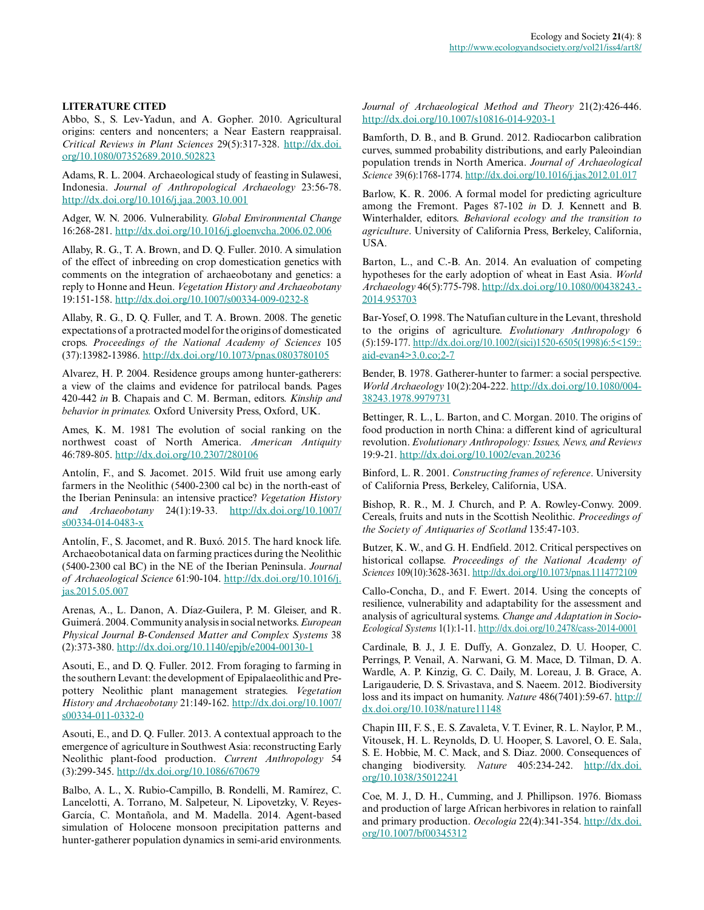## **LITERATURE CITED**

Abbo, S., S. Lev-Yadun, and A. Gopher. 2010. Agricultural origins: centers and noncenters; a Near Eastern reappraisal. *Critical Reviews in Plant Sciences* 29(5):317-328. [http://dx.doi.](http://dx.doi.org/10.1080%2F07352689.2010.502823) [org/10.1080/07352689.2010.502823](http://dx.doi.org/10.1080%2F07352689.2010.502823)

Adams, R. L. 2004. Archaeological study of feasting in Sulawesi, Indonesia. *Journal of Anthropological Archaeology* 23:56-78. [http://dx.doi.org/10.1016/j.jaa.2003.10.001](http://dx.doi.org/10.1016%2Fj.jaa.2003.10.001)

Adger, W. N. 2006. Vulnerability. *Global Environmental Change* 16:268-281. [http://dx.doi.org/10.1016/j.gloenvcha.2006.02.006](http://dx.doi.org/10.1016%2Fj.gloenvcha.2006.02.006)

Allaby, R. G., T. A. Brown, and D. Q. Fuller. 2010. A simulation of the effect of inbreeding on crop domestication genetics with comments on the integration of archaeobotany and genetics: a reply to Honne and Heun. *Vegetation History and Archaeobotany* 19:151-158. [http://dx.doi.org/10.1007/s00334-009-0232-8](http://dx.doi.org/10.1007%2Fs00334-009-0232-8)

Allaby, R. G., D. Q. Fuller, and T. A. Brown. 2008. The genetic expectations of a protracted model for the origins of domesticated crops. *Proceedings of the National Academy of Sciences* 105 (37):13982-13986. [http://dx.doi.org/10.1073/pnas.0803780105](http://dx.doi.org/10.1073%2Fpnas.0803780105)

Alvarez, H. P. 2004. Residence groups among hunter-gatherers: a view of the claims and evidence for patrilocal bands. Pages 420-442 *in* B. Chapais and C. M. Berman, editors. *Kinship and behavior in primates.* Oxford University Press, Oxford, UK.

Ames, K. M. 1981 The evolution of social ranking on the northwest coast of North America. *American Antiquity* 46:789-805. [http://dx.doi.org/10.2307/280106](http://dx.doi.org/10.2307%2F280106)

Antolín, F., and S. Jacomet. 2015. Wild fruit use among early farmers in the Neolithic (5400-2300 cal bc) in the north-east of the Iberian Peninsula: an intensive practice? *Vegetation History and Archaeobotany* 24(1):19-33. [http://dx.doi.org/10.1007/](http://dx.doi.org/10.1007%2Fs00334-014-0483-x) [s00334-014-0483-x](http://dx.doi.org/10.1007%2Fs00334-014-0483-x) 

Antolín, F., S. Jacomet, and R. Buxó. 2015. The hard knock life. Archaeobotanical data on farming practices during the Neolithic (5400-2300 cal BC) in the NE of the Iberian Peninsula. *Journal of Archaeological Science* 61:90-104. [http://dx.doi.org/10.1016/j.](http://dx.doi.org/10.1016%2Fj.jas.2015.05.007) [jas.2015.05.007](http://dx.doi.org/10.1016%2Fj.jas.2015.05.007) 

Arenas, A., L. Danon, A. Díaz-Guilera, P. M. Gleiser, and R. Guimerá. 2004. Community analysis in social networks. *European Physical Journal B-Condensed Matter and Complex Systems* 38 (2):373-380. <http://dx.doi.org/10.1140/epjb/e2004-00130-1>

Asouti, E., and D. Q. Fuller. 2012. From foraging to farming in the southern Levant: the development of Epipalaeolithic and Prepottery Neolithic plant management strategies. *Vegetation History and Archaeobotany* 21:149-162. [http://dx.doi.org/10.1007/](http://dx.doi.org/10.1007%2Fs00334-011-0332-0) [s00334-011-0332-0](http://dx.doi.org/10.1007%2Fs00334-011-0332-0) 

Asouti, E., and D. Q. Fuller. 2013. A contextual approach to the emergence of agriculture in Southwest Asia: reconstructing Early Neolithic plant-food production. *Current Anthropology* 54 (3):299-345. [http://dx.doi.org/10.1086/670679](http://dx.doi.org/10.1086%2F670679) 

Balbo, A. L., X. Rubio-Campillo, B. Rondelli, M. Ramírez, C. Lancelotti, A. Torrano, M. Salpeteur, N. Lipovetzky, V. Reyes-García, C. Montañola, and M. Madella. 2014. Agent-based simulation of Holocene monsoon precipitation patterns and hunter-gatherer population dynamics in semi-arid environments. *Journal of Archaeological Method and Theory* 21(2):426-446. [http://dx.doi.org/10.1007/s10816-014-9203-1](http://dx.doi.org/10.1007%2Fs10816-014-9203-1)

Bamforth, D. B., and B. Grund. 2012. Radiocarbon calibration curves, summed probability distributions, and early Paleoindian population trends in North America. *Journal of Archaeological Science* 39(6):1768-1774. [http://dx.doi.org/10.1016/j.jas.2012.01.017](http://dx.doi.org/10.1016%2Fj.jas.2012.01.017) 

Barlow, K. R. 2006. A formal model for predicting agriculture among the Fremont. Pages 87-102 *in* D. J. Kennett and B. Winterhalder, editors. *Behavioral ecology and the transition to agriculture*. University of California Press, Berkeley, California, USA.

Barton, L., and C.-B. An. 2014. An evaluation of competing hypotheses for the early adoption of wheat in East Asia. *World Archaeology* 46(5):775-798. [http://dx.doi.org/10.1080/00438243.](http://dx.doi.org/10.1080%2F00438243.2014.953703) [2014.953703](http://dx.doi.org/10.1080%2F00438243.2014.953703)

Bar-Yosef, O. 1998. The Natufian culture in the Levant, threshold to the origins of agriculture. *Evolutionary Anthropology* 6 (5):159-177. [http://dx.doi.org/10.1002/\(sici\)1520-6505\(1998\)6:5<159::](http://dx.doi.org/10.1002%2F%28sici%291520-6505%281998%296%3A5%3C159%3A%3Aaid-evan4%3E3.0.co%3B2-7) [aid-evan4>3.0.co;2-7](http://dx.doi.org/10.1002%2F%28sici%291520-6505%281998%296%3A5%3C159%3A%3Aaid-evan4%3E3.0.co%3B2-7)

Bender, B. 1978. Gatherer-hunter to farmer: a social perspective. *World Archaeology* 10(2):204-222. [http://dx.doi.org/10.1080/004](http://dx.doi.org/10.1080%2F00438243.1978.9979731) [38243.1978.9979731](http://dx.doi.org/10.1080%2F00438243.1978.9979731) 

Bettinger, R. L., L. Barton, and C. Morgan. 2010. The origins of food production in north China: a different kind of agricultural revolution. *Evolutionary Anthropology: Issues, News, and Reviews* 19:9-21. [http://dx.doi.org/10.1002/evan.20236](http://dx.doi.org/10.1002%2Fevan.20236) 

Binford, L. R. 2001. *Constructing frames of reference*. University of California Press, Berkeley, California, USA.

Bishop, R. R., M. J. Church, and P. A. Rowley-Conwy. 2009. Cereals, fruits and nuts in the Scottish Neolithic. *Proceedings of the Society of Antiquaries of Scotland* 135:47-103.

Butzer, K. W., and G. H. Endfield. 2012. Critical perspectives on historical collapse. *Proceedings of the National Academy of Sciences* 109(10):3628-3631. [http://dx.doi.org/10.1073/pnas.1114772109](http://dx.doi.org/10.1073%2Fpnas.1114772109)

Callo-Concha, D., and F. Ewert. 2014. Using the concepts of resilience, vulnerability and adaptability for the assessment and analysis of agricultural systems. *Change and Adaptation in Socio-Ecological Systems* 1(1):1-11. [http://dx.doi.org/10.2478/cass-2014-0001](http://dx.doi.org/10.2478%2Fcass-2014-0001) 

Cardinale, B. J., J. E. Duffy, A. Gonzalez, D. U. Hooper, C. Perrings, P. Venail, A. Narwani, G. M. Mace, D. Tilman, D. A. Wardle, A. P. Kinzig, G. C. Daily, M. Loreau, J. B. Grace, A. Larigauderie, D. S. Srivastava, and S. Naeem. 2012. Biodiversity loss and its impact on humanity. *Nature* 486(7401):59-67. [http://](http://dx.doi.org/10.1038%2Fnature11148) [dx.doi.org/10.1038/nature11148](http://dx.doi.org/10.1038%2Fnature11148) 

Chapin III, F. S., E. S. Zavaleta, V. T. Eviner, R. L. Naylor, P. M., Vitousek, H. L. Reynolds, D. U. Hooper, S. Lavorel, O. E. Sala, S. E. Hobbie, M. C. Mack, and S. Diaz. 2000. Consequences of changing biodiversity. *Nature* 405:234-242. [http://dx.doi.](http://dx.doi.org/10.1038%2F35012241) [org/10.1038/35012241](http://dx.doi.org/10.1038%2F35012241)

Coe, M. J., D. H., Cumming, and J. Phillipson. 1976. Biomass and production of large African herbivores in relation to rainfall and primary production. *Oecologia* 22(4):341-354. [http://dx.doi.](http://dx.doi.org/10.1007%2Fbf00345312) [org/10.1007/bf00345312](http://dx.doi.org/10.1007%2Fbf00345312)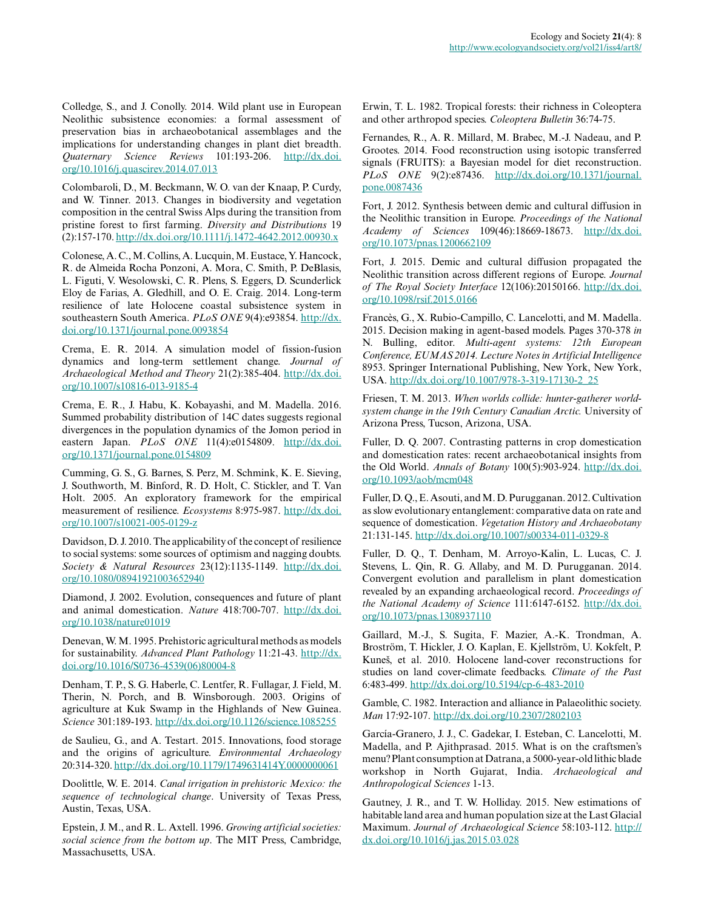Colledge, S., and J. Conolly. 2014. Wild plant use in European Neolithic subsistence economies: a formal assessment of preservation bias in archaeobotanical assemblages and the implications for understanding changes in plant diet breadth. *Quaternary Science Reviews* 101:193-206. [http://dx.doi.](http://dx.doi.org/10.1016%2Fj.quascirev.2014.07.013) [org/10.1016/j.quascirev.2014.07.013](http://dx.doi.org/10.1016%2Fj.quascirev.2014.07.013)

Colombaroli, D., M. Beckmann, W. O. van der Knaap, P. Curdy, and W. Tinner. 2013. Changes in biodiversity and vegetation composition in the central Swiss Alps during the transition from pristine forest to first farming. *Diversity and Distributions* 19 (2):157-170. [http://dx.doi.org/10.1111/j.1472-4642.2012.00930.x](http://dx.doi.org/10.1111%2Fj.1472-4642.2012.00930.x)

Colonese, A. C., M. Collins, A. Lucquin, M. Eustace, Y. Hancock, R. de Almeida Rocha Ponzoni, A. Mora, C. Smith, P. DeBlasis, L. Figuti, V. Wesolowski, C. R. Plens, S. Eggers, D. Scunderlick Eloy de Farias, A. Gledhill, and O. E. Craig. 2014. Long-term resilience of late Holocene coastal subsistence system in southeastern South America. *PLoS ONE* 9(4):e93854. [http://dx.](http://dx.doi.org/10.1371%2Fjournal.pone.0093854) [doi.org/10.1371/journal.pone.0093854](http://dx.doi.org/10.1371%2Fjournal.pone.0093854)

Crema, E. R. 2014. A simulation model of fission-fusion dynamics and long-term settlement change. *Journal of Archaeological Method and Theory* 21(2):385-404. [http://dx.doi.](http://dx.doi.org/10.1007%2Fs10816-013-9185-4) [org/10.1007/s10816-013-9185-4](http://dx.doi.org/10.1007%2Fs10816-013-9185-4)

Crema, E. R., J. Habu, K. Kobayashi, and M. Madella. 2016. Summed probability distribution of 14C dates suggests regional divergences in the population dynamics of the Jomon period in eastern Japan. *PLoS ONE* 11(4):e0154809. [http://dx.doi.](http://dx.doi.org/10.1371%2Fjournal.pone.0154809) [org/10.1371/journal.pone.0154809](http://dx.doi.org/10.1371%2Fjournal.pone.0154809) 

Cumming, G. S., G. Barnes, S. Perz, M. Schmink, K. E. Sieving, J. Southworth, M. Binford, R. D. Holt, C. Stickler, and T. Van Holt. 2005. An exploratory framework for the empirical measurement of resilience. *Ecosystems* 8:975-987. [http://dx.doi.](http://dx.doi.org/10.1007%2Fs10021-005-0129-z) [org/10.1007/s10021-005-0129-z](http://dx.doi.org/10.1007%2Fs10021-005-0129-z) 

Davidson, D. J. 2010. The applicability of the concept of resilience to social systems: some sources of optimism and nagging doubts. *Society & Natural Resources* 23(12):1135-1149. [http://dx.doi.](http://dx.doi.org/10.1080%2F08941921003652940) [org/10.1080/08941921003652940](http://dx.doi.org/10.1080%2F08941921003652940) 

Diamond, J. 2002. Evolution, consequences and future of plant and animal domestication. *Nature* 418:700-707. [http://dx.doi.](http://dx.doi.org/10.1038%2Fnature01019) [org/10.1038/nature01019](http://dx.doi.org/10.1038%2Fnature01019)

Denevan, W. M. 1995. Prehistoric agricultural methods as models for sustainability. *Advanced Plant Pathology* 11:21-43. [http://dx.](http://dx.doi.org/10.1016%2FS0736-4539%2806%2980004-8) [doi.org/10.1016/S0736-4539\(06\)80004-8](http://dx.doi.org/10.1016%2FS0736-4539%2806%2980004-8) 

Denham, T. P., S. G. Haberle, C. Lentfer, R. Fullagar, J. Field, M. Therin, N. Porch, and B. Winsborough. 2003. Origins of agriculture at Kuk Swamp in the Highlands of New Guinea. *Science* 301:189-193. [http://dx.doi.org/10.1126/science.1085255](http://dx.doi.org/10.1126%2Fscience.1085255)

de Saulieu, G., and A. Testart. 2015. Innovations, food storage and the origins of agriculture. *Environmental Archaeology* 20:314-320. [http://dx.doi.org/10.1179/1749631414Y.0000000061](http://dx.doi.org/10.1179%2F1749631414Y.0000000061)

Doolittle, W. E. 2014. *Canal irrigation in prehistoric Mexico: the sequence of technological change*. University of Texas Press, Austin, Texas, USA.

Epstein, J. M., and R. L. Axtell. 1996. *Growing artificial societies: social science from the bottom up*. The MIT Press, Cambridge, Massachusetts, USA.

Erwin, T. L. 1982. Tropical forests: their richness in Coleoptera and other arthropod species. *Coleoptera Bulletin* 36:74-75.

Fernandes, R., A. R. Millard, M. Brabec, M.-J. Nadeau, and P. Grootes. 2014. Food reconstruction using isotopic transferred signals (FRUITS): a Bayesian model for diet reconstruction. *PLoS ONE* 9(2):e87436. [http://dx.doi.org/10.1371/journal.](http://dx.doi.org/10.1371%2Fjournal.pone.0087436) [pone.0087436](http://dx.doi.org/10.1371%2Fjournal.pone.0087436)

Fort, J. 2012. Synthesis between demic and cultural diffusion in the Neolithic transition in Europe. *Proceedings of the National Academy of Sciences* 109(46):18669-18673. [http://dx.doi.](http://dx.doi.org/10.1073%2Fpnas.1200662109) [org/10.1073/pnas.1200662109](http://dx.doi.org/10.1073%2Fpnas.1200662109) 

Fort, J. 2015. Demic and cultural diffusion propagated the Neolithic transition across different regions of Europe. *Journal of The Royal Society Interface* 12(106):20150166. [http://dx.doi.](http://dx.doi.org/10.1098%2Frsif.2015.0166) [org/10.1098/rsif.2015.0166](http://dx.doi.org/10.1098%2Frsif.2015.0166) 

Francès, G., X. Rubio-Campillo, C. Lancelotti, and M. Madella. 2015. Decision making in agent-based models. Pages 370-378 *in* N. Bulling, editor. *Multi-agent systems: 12th European Conference, EUMAS 2014. Lecture Notes in Artificial Intelligence* 8953. Springer International Publishing, New York, New York, USA. [http://dx.doi.org/10.1007/978-3-319-17130-2\\_25](http://dx.doi.org/10.1007%2F978-3-319-17130-2_25)

Friesen, T. M. 2013. *When worlds collide: hunter-gatherer worldsystem change in the 19th Century Canadian Arctic.* University of Arizona Press, Tucson, Arizona, USA.

Fuller, D. Q. 2007. Contrasting patterns in crop domestication and domestication rates: recent archaeobotanical insights from the Old World. *Annals of Botany* 100(5):903-924. [http://dx.doi.](http://dx.doi.org/10.1093%2Faob%2Fmcm048) [org/10.1093/aob/mcm048](http://dx.doi.org/10.1093%2Faob%2Fmcm048)

Fuller, D. Q., E. Asouti, and M. D. Purugganan. 2012. Cultivation as slow evolutionary entanglement: comparative data on rate and sequence of domestication. *Vegetation History and Archaeobotany* 21:131-145. [http://dx.doi.org/10.1007/s00334-011-0329-8](http://dx.doi.org/10.1007%2Fs00334-011-0329-8)

Fuller, D. Q., T. Denham, M. Arroyo-Kalin, L. Lucas, C. J. Stevens, L. Qin, R. G. Allaby, and M. D. Purugganan. 2014. Convergent evolution and parallelism in plant domestication revealed by an expanding archaeological record. *Proceedings of the National Academy of Science* 111:6147-6152. [http://dx.doi.](http://dx.doi.org/10.1073%2Fpnas.1308937110) [org/10.1073/pnas.1308937110](http://dx.doi.org/10.1073%2Fpnas.1308937110) 

Gaillard, M.-J., S. Sugita, F. Mazier, A.-K. Trondman, A. Broström, T. Hickler, J. O. Kaplan, E. Kjellström, U. Kokfelt, P. Kuneš, et al. 2010. Holocene land-cover reconstructions for studies on land cover-climate feedbacks. *Climate of the Past* 6:483-499. [http://dx.doi.org/10.5194/cp-6-483-2010](http://dx.doi.org/10.5194%2Fcp-6-483-2010) 

Gamble, C. 1982. Interaction and alliance in Palaeolithic society. *Man* 17:92-107. <http://dx.doi.org/10.2307/2802103>

García-Granero, J. J., C. Gadekar, I. Esteban, C. Lancelotti, M. Madella, and P. Ajithprasad. 2015. What is on the craftsmen's menu? Plant consumption at Datrana, a 5000-year-old lithic blade workshop in North Gujarat, India. *Archaeological and Anthropological Sciences* 1-13.

Gautney, J. R., and T. W. Holliday. 2015. New estimations of habitable land area and human population size at the Last Glacial Maximum. *Journal of Archaeological Science* 58:103-112. [http://](http://dx.doi.org/10.1016%2Fj.jas.2015.03.028) [dx.doi.org/10.1016/j.jas.2015.03.028](http://dx.doi.org/10.1016%2Fj.jas.2015.03.028)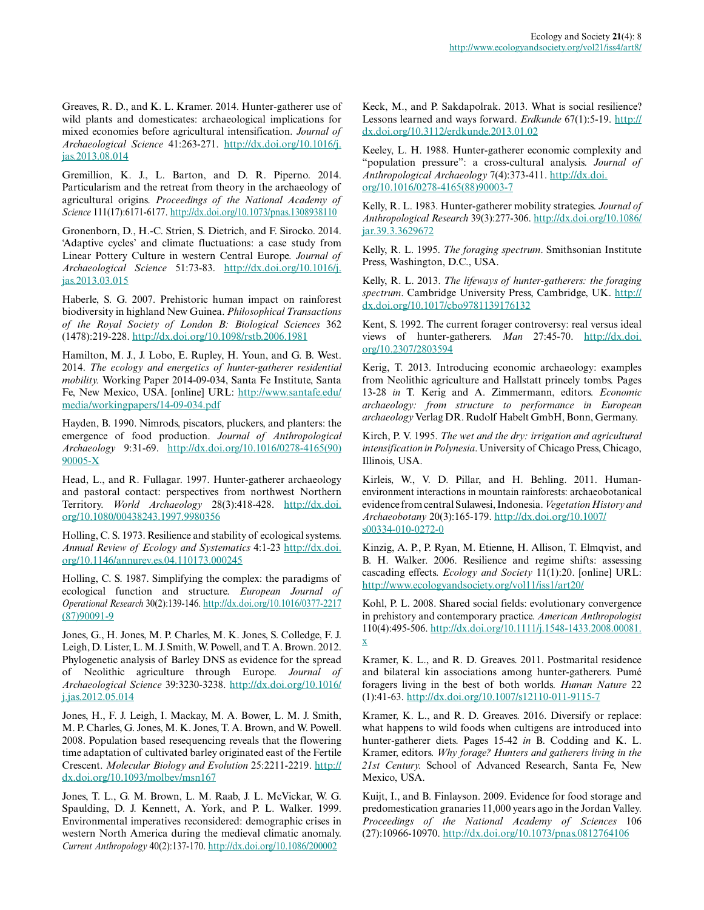Greaves, R. D., and K. L. Kramer. 2014. Hunter-gatherer use of wild plants and domesticates: archaeological implications for mixed economies before agricultural intensification. *Journal of Archaeological Science* 41:263-271. [http://dx.doi.org/10.1016/j.](http://dx.doi.org/10.1016%2Fj.jas.2013.08.014) [jas.2013.08.014](http://dx.doi.org/10.1016%2Fj.jas.2013.08.014) 

Gremillion, K. J., L. Barton, and D. R. Piperno. 2014. Particularism and the retreat from theory in the archaeology of agricultural origins. *Proceedings of the National Academy of Science* 111(17):6171-6177. [http://dx.doi.org/10.1073/pnas.1308938110](http://dx.doi.org/10.1073%2Fpnas.1308938110) 

Gronenborn, D., H.-C. Strien, S. Dietrich, and F. Sirocko. 2014. 'Adaptive cycles' and climate fluctuations: a case study from Linear Pottery Culture in western Central Europe. *Journal of Archaeological Science* 51:73-83. [http://dx.doi.org/10.1016/j.](http://dx.doi.org/10.1016%2Fj.jas.2013.03.015) [jas.2013.03.015](http://dx.doi.org/10.1016%2Fj.jas.2013.03.015) 

Haberle, S. G. 2007. Prehistoric human impact on rainforest biodiversity in highland New Guinea. *Philosophical Transactions of the Royal Society of London B: Biological Sciences* 362 (1478):219-228. [http://dx.doi.org/10.1098/rstb.2006.1981](http://dx.doi.org/10.1098%2Frstb.2006.1981) 

Hamilton, M. J., J. Lobo, E. Rupley, H. Youn, and G. B. West. 2014. *The ecology and energetics of hunter-gatherer residential mobility.* Working Paper 2014-09-034, Santa Fe Institute, Santa Fe, New Mexico, USA. [online] URL: [http://www.santafe.edu/](http://www.santafe.edu/media/workingpapers/14-09-034.pdf) [media/workingpapers/14-09-034.pdf](http://www.santafe.edu/media/workingpapers/14-09-034.pdf)

Hayden, B. 1990. Nimrods, piscators, pluckers, and planters: the emergence of food production. *Journal of Anthropological Archaeology* 9:31-69. [http://dx.doi.org/10.1016/0278-4165\(90\)](http://dx.doi.org/10.1016%2F0278-4165%2890%2990005-X) [90005-X](http://dx.doi.org/10.1016%2F0278-4165%2890%2990005-X)

Head, L., and R. Fullagar. 1997. Hunter-gatherer archaeology and pastoral contact: perspectives from northwest Northern Territory. *World Archaeology* 28(3):418-428. [http://dx.doi.](http://dx.doi.org/10.1080%2F00438243.1997.9980356) [org/10.1080/00438243.1997.9980356](http://dx.doi.org/10.1080%2F00438243.1997.9980356) 

Holling, C. S. 1973. Resilience and stability of ecological systems. *Annual Review of Ecology and Systematics* 4:1-23 [http://dx.doi.](http://dx.doi.org/10.1146%2Fannurev.es.04.110173.000245) [org/10.1146/annurev.es.04.110173.000245](http://dx.doi.org/10.1146%2Fannurev.es.04.110173.000245) 

Holling, C. S. 1987. Simplifying the complex: the paradigms of ecological function and structure. *European Journal of Operational Research* 30(2):139-146. [http://dx.doi.org/10.1016/0377-2217](http://dx.doi.org/10.1016%2F0377-2217%2887%2990091-9) [\(87\)90091-9](http://dx.doi.org/10.1016%2F0377-2217%2887%2990091-9) 

Jones, G., H. Jones, M. P. Charles, M. K. Jones, S. Colledge, F. J. Leigh, D. Lister, L. M. J. Smith, W. Powell, and T. A. Brown. 2012. Phylogenetic analysis of Barley DNS as evidence for the spread of Neolithic agriculture through Europe. *Journal of Archaeological Science* 39:3230-3238. [http://dx.doi.org/10.1016/](http://dx.doi.org/10.1016%2Fj.jas.2012.05.014) [j.jas.2012.05.014](http://dx.doi.org/10.1016%2Fj.jas.2012.05.014) 

Jones, H., F. J. Leigh, I. Mackay, M. A. Bower, L. M. J. Smith, M. P. Charles, G. Jones, M. K. Jones, T. A. Brown, and W. Powell. 2008. Population based resequencing reveals that the flowering time adaptation of cultivated barley originated east of the Fertile Crescent. *Molecular Biology and Evolution* 25:2211-2219. [http://](http://dx.doi.org/10.1093%2Fmolbev%2Fmsn167) [dx.doi.org/10.1093/molbev/msn167](http://dx.doi.org/10.1093%2Fmolbev%2Fmsn167) 

Jones, T. L., G. M. Brown, L. M. Raab, J. L. McVickar, W. G. Spaulding, D. J. Kennett, A. York, and P. L. Walker. 1999. Environmental imperatives reconsidered: demographic crises in western North America during the medieval climatic anomaly. *Current Anthropology* 40(2):137-170. [http://dx.doi.org/10.1086/200002](http://dx.doi.org/10.1086%2F200002) 

Keck, M., and P. Sakdapolrak. 2013. What is social resilience? Lessons learned and ways forward. *Erdkunde* 67(1):5-19. [http://](http://dx.doi.org/10.3112%2Ferdkunde.2013.01.02) [dx.doi.org/10.3112/erdkunde.2013.01.02](http://dx.doi.org/10.3112%2Ferdkunde.2013.01.02) 

Keeley, L. H. 1988. Hunter-gatherer economic complexity and "population pressure": a cross-cultural analysis. *Journal of Anthropological Archaeology* 7(4):373-411. [http://dx.doi.](http://dx.doi.org/10.1016%2F0278-4165%2888%2990003-7) [org/10.1016/0278-4165\(88\)90003-7](http://dx.doi.org/10.1016%2F0278-4165%2888%2990003-7)

Kelly, R. L. 1983. Hunter-gatherer mobility strategies. *Journal of Anthropological Research* 39(3):277-306. [http://dx.doi.org/10.1086/](http://dx.doi.org/10.1086%2Fjar.39.3.3629672) [jar.39.3.3629672](http://dx.doi.org/10.1086%2Fjar.39.3.3629672)

Kelly, R. L. 1995. *The foraging spectrum*. Smithsonian Institute Press, Washington, D.C., USA.

Kelly, R. L. 2013. *The lifeways of hunter-gatherers: the foraging spectrum*. Cambridge University Press, Cambridge, UK. [http://](http://dx.doi.org/10.1017%2Fcbo9781139176132) [dx.doi.org/10.1017/cbo9781139176132](http://dx.doi.org/10.1017%2Fcbo9781139176132)

Kent, S. 1992. The current forager controversy: real versus ideal views of hunter-gatherers. *Man* 27:45-70. [http://dx.doi.](http://dx.doi.org/10.2307%2F2803594) [org/10.2307/2803594](http://dx.doi.org/10.2307%2F2803594) 

Kerig, T. 2013. Introducing economic archaeology: examples from Neolithic agriculture and Hallstatt princely tombs. Pages 13-28 *in* T. Kerig and A. Zimmermann, editors. *Economic archaeology: from structure to performance in European archaeology* Verlag DR. Rudolf Habelt GmbH, Bonn, Germany.

Kirch, P. V. 1995. *The wet and the dry: irrigation and agricultural intensification in Polynesia*. University of Chicago Press, Chicago, Illinois, USA.

Kirleis, W., V. D. Pillar, and H. Behling. 2011. Humanenvironment interactions in mountain rainforests: archaeobotanical evidence from central Sulawesi, Indonesia. *Vegetation History and Archaeobotany* 20(3):165-179. [http://dx.doi.org/10.1007/](http://dx.doi.org/10.1007%2Fs00334-010-0272-0) [s00334-010-0272-0](http://dx.doi.org/10.1007%2Fs00334-010-0272-0) 

Kinzig, A. P., P. Ryan, M. Etienne, H. Allison, T. Elmqvist, and B. H. Walker. 2006. Resilience and regime shifts: assessing cascading effects. *Ecology and Society* 11(1):20. [online] URL: <http://www.ecologyandsociety.org/vol11/iss1/art20/>

Kohl, P. L. 2008. Shared social fields: evolutionary convergence in prehistory and contemporary practice. *American Anthropologist* 110(4):495-506. [http://dx.doi.org/10.1111/j.1548-1433.2008.00081.](http://dx.doi.org/10.1111%2Fj.1548-1433.2008.00081.x) [x](http://dx.doi.org/10.1111%2Fj.1548-1433.2008.00081.x) 

Kramer, K. L., and R. D. Greaves. 2011. Postmarital residence and bilateral kin associations among hunter-gatherers. Pumé foragers living in the best of both worlds. *Human Nature* 22 (1):41-63. [http://dx.doi.org/10.1007/s12110-011-9115-7](http://dx.doi.org/10.1007%2Fs12110-011-9115-7) 

Kramer, K. L., and R. D. Greaves. 2016. Diversify or replace: what happens to wild foods when cultigens are introduced into hunter-gatherer diets. Pages 15-42 *in* B. Codding and K. L. Kramer, editors. *Why forage? Hunters and gatherers living in the 21st Century.* School of Advanced Research, Santa Fe, New Mexico, USA.

Kuijt, I., and B. Finlayson. 2009. Evidence for food storage and predomestication granaries 11,000 years ago in the Jordan Valley. *Proceedings of the National Academy of Sciences* 106 (27):10966-10970. [http://dx.doi.org/10.1073/pnas.0812764106](http://dx.doi.org/10.1073%2Fpnas.0812764106)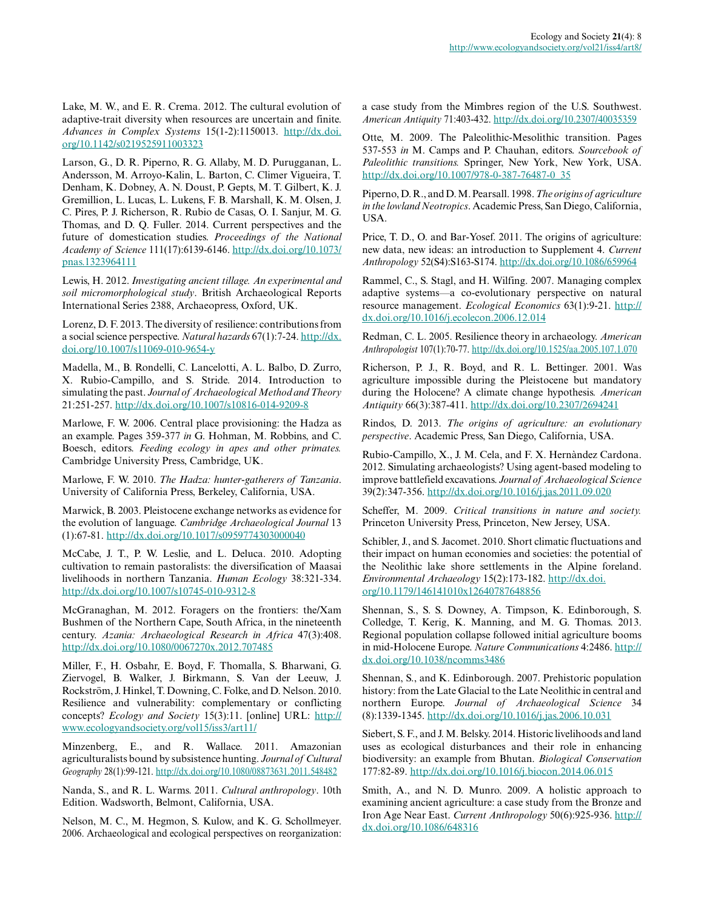Lake, M. W., and E. R. Crema. 2012. The cultural evolution of adaptive-trait diversity when resources are uncertain and finite. *Advances in Complex Systems* 15(1-2):1150013. [http://dx.doi.](http://dx.doi.org/10.1142%2Fs0219525911003323) [org/10.1142/s0219525911003323](http://dx.doi.org/10.1142%2Fs0219525911003323) 

Larson, G., D. R. Piperno, R. G. Allaby, M. D. Purugganan, L. Andersson, M. Arroyo-Kalin, L. Barton, C. Climer Vigueira, T. Denham, K. Dobney, A. N. Doust, P. Gepts, M. T. Gilbert, K. J. Gremillion, L. Lucas, L. Lukens, F. B. Marshall, K. M. Olsen, J. C. Pires, P. J. Richerson, R. Rubio de Casas, O. I. Sanjur, M. G. Thomas, and D. Q. Fuller. 2014. Current perspectives and the future of domestication studies. *Proceedings of the National Academy of Science* 111(17):6139-6146. [http://dx.doi.org/10.1073/](http://dx.doi.org/10.1073%2Fpnas.1323964111) [pnas.1323964111](http://dx.doi.org/10.1073%2Fpnas.1323964111) 

Lewis, H. 2012. *Investigating ancient tillage. An experimental and soil micromorphological study*. British Archaeological Reports International Series 2388, Archaeopress, Oxford, UK.

Lorenz, D. F. 2013. The diversity of resilience: contributions from a social science perspective. *Natural hazards* 67(1):7-24. [http://dx.](http://dx.doi.org/10.1007%2Fs11069-010-9654-y) [doi.org/10.1007/s11069-010-9654-y](http://dx.doi.org/10.1007%2Fs11069-010-9654-y) 

Madella, M., B. Rondelli, C. Lancelotti, A. L. Balbo, D. Zurro, X. Rubio-Campillo, and S. Stride. 2014. Introduction to simulating the past. *Journal of Archaeological Method and Theory* 21:251-257. [http://dx.doi.org/10.1007/s10816-014-9209-8](http://dx.doi.org/10.1007%2Fs10816-014-9209-8)

Marlowe, F. W. 2006. Central place provisioning: the Hadza as an example. Pages 359-377 *in* G. Hohman, M. Robbins, and C. Boesch, editors. *Feeding ecology in apes and other primates.* Cambridge University Press, Cambridge, UK.

Marlowe, F. W. 2010. *The Hadza: hunter-gatherers of Tanzania*. University of California Press, Berkeley, California, USA.

Marwick, B. 2003. Pleistocene exchange networks as evidence for the evolution of language. *Cambridge Archaeological Journal* 13 (1):67-81. [http://dx.doi.org/10.1017/s0959774303000040](http://dx.doi.org/10.1017%2Fs0959774303000040)

McCabe, J. T., P. W. Leslie, and L. Deluca. 2010. Adopting cultivation to remain pastoralists: the diversification of Maasai livelihoods in northern Tanzania. *Human Ecology* 38:321-334. [http://dx.doi.org/10.1007/s10745-010-9312-8](http://dx.doi.org/10.1007%2Fs10745-010-9312-8)

McGranaghan, M. 2012. Foragers on the frontiers: the/Xam Bushmen of the Northern Cape, South Africa, in the nineteenth century. *Azania: Archaeological Research in Africa* 47(3):408. [http://dx.doi.org/10.1080/0067270x.2012.707485](http://dx.doi.org/10.1080%2F0067270x.2012.707485)

Miller, F., H. Osbahr, E. Boyd, F. Thomalla, S. Bharwani, G. Ziervogel, B. Walker, J. Birkmann, S. Van der Leeuw, J. Rockström, J. Hinkel, T. Downing, C. Folke, and D. Nelson. 2010. Resilience and vulnerability: complementary or conflicting concepts? *Ecology and Society* 15(3):11. [online] URL: [http://](http://www.ecologyandsociety.org/vol15/iss3/art11/) [www.ecologyandsociety.org/vol15/iss3/art11/](http://www.ecologyandsociety.org/vol15/iss3/art11/)

Minzenberg, E., and R. Wallace. 2011. Amazonian agriculturalists bound by subsistence hunting. *Journal of Cultural Geography* 28(1):99-121. [http://dx.doi.org/10.1080/08873631.2011.548482](http://dx.doi.org/10.1080%2F08873631.2011.548482)

Nanda, S., and R. L. Warms. 2011. *Cultural anthropology*. 10th Edition. Wadsworth, Belmont, California, USA.

Nelson, M. C., M. Hegmon, S. Kulow, and K. G. Schollmeyer. 2006. Archaeological and ecological perspectives on reorganization: a case study from the Mimbres region of the U.S. Southwest. *American Antiquity* 71:403-432. [http://dx.doi.org/10.2307/40035359](http://dx.doi.org/10.2307%2F40035359) 

Otte, M. 2009. The Paleolithic-Mesolithic transition. Pages 537-553 *in* M. Camps and P. Chauhan, editors. *Sourcebook of Paleolithic transitions.* Springer, New York, New York, USA. [http://dx.doi.org/10.1007/978-0-387-76487-0\\_35](http://dx.doi.org/10.1007%2F978-0-387-76487-0_35)

Piperno, D. R., and D. M. Pearsall. 1998. *The origins of agriculture in the lowland Neotropics*. Academic Press, San Diego, California, **I**ISA.

Price, T. D., O. and Bar-Yosef. 2011. The origins of agriculture: new data, new ideas: an introduction to Supplement 4. *Current Anthropology* 52(S4):S163-S174. <http://dx.doi.org/10.1086/659964>

Rammel, C., S. Stagl, and H. Wilfing. 2007. Managing complex adaptive systems—a co-evolutionary perspective on natural resource management. *Ecological Economics* 63(1):9-21. [http://](http://dx.doi.org/10.1016%2Fj.ecolecon.2006.12.014) [dx.doi.org/10.1016/j.ecolecon.2006.12.014](http://dx.doi.org/10.1016%2Fj.ecolecon.2006.12.014) 

Redman, C. L. 2005. Resilience theory in archaeology. *American Anthropologist* 107(1):70-77. [http://dx.doi.org/10.1525/aa.2005.107.1.070](http://dx.doi.org/10.1525%2Faa.2005.107.1.070)

Richerson, P. J., R. Boyd, and R. L. Bettinger. 2001. Was agriculture impossible during the Pleistocene but mandatory during the Holocene? A climate change hypothesis. *American Antiquity* 66(3):387-411. [http://dx.doi.org/10.2307/2694241](http://dx.doi.org/10.2307%2F2694241)

Rindos, D. 2013. *The origins of agriculture: an evolutionary perspective*. Academic Press, San Diego, California, USA.

Rubio-Campillo, X., J. M. Cela, and F. X. Hernàndez Cardona. 2012. Simulating archaeologists? Using agent-based modeling to improve battlefield excavations. *Journal of Archaeological Science* 39(2):347-356. [http://dx.doi.org/10.1016/j.jas.2011.09.020](http://dx.doi.org/10.1016%2Fj.jas.2011.09.020)

Scheffer, M. 2009. *Critical transitions in nature and society.* Princeton University Press, Princeton, New Jersey, USA.

Schibler, J., and S. Jacomet. 2010. Short climatic fluctuations and their impact on human economies and societies: the potential of the Neolithic lake shore settlements in the Alpine foreland. *Environmental Archaeology* 15(2):173-182. [http://dx.doi.](http://dx.doi.org/10.1179%2F146141010x12640787648856) [org/10.1179/146141010x12640787648856](http://dx.doi.org/10.1179%2F146141010x12640787648856)

Shennan, S., S. S. Downey, A. Timpson, K. Edinborough, S. Colledge, T. Kerig, K. Manning, and M. G. Thomas. 2013. Regional population collapse followed initial agriculture booms in mid-Holocene Europe. *Nature Communications* 4:2486. [http://](http://dx.doi.org/10.1038%2Fncomms3486) [dx.doi.org/10.1038/ncomms3486](http://dx.doi.org/10.1038%2Fncomms3486)

Shennan, S., and K. Edinborough. 2007. Prehistoric population history: from the Late Glacial to the Late Neolithic in central and northern Europe. *Journal of Archaeological Science* 34 (8):1339-1345. [http://dx.doi.org/10.1016/j.jas.2006.10.031](http://dx.doi.org/10.1016%2Fj.jas.2006.10.031)

Siebert, S. F., and J. M. Belsky. 2014. Historic livelihoods and land uses as ecological disturbances and their role in enhancing biodiversity: an example from Bhutan. *Biological Conservation* 177:82-89. [http://dx.doi.org/10.1016/j.biocon.2014.06.015](http://dx.doi.org/10.1016%2Fj.biocon.2014.06.015) 

Smith, A., and N. D. Munro. 2009. A holistic approach to examining ancient agriculture: a case study from the Bronze and Iron Age Near East. *Current Anthropology* 50(6):925-936. [http://](http://dx.doi.org/10.1086%2F648316) [dx.doi.org/10.1086/648316](http://dx.doi.org/10.1086%2F648316)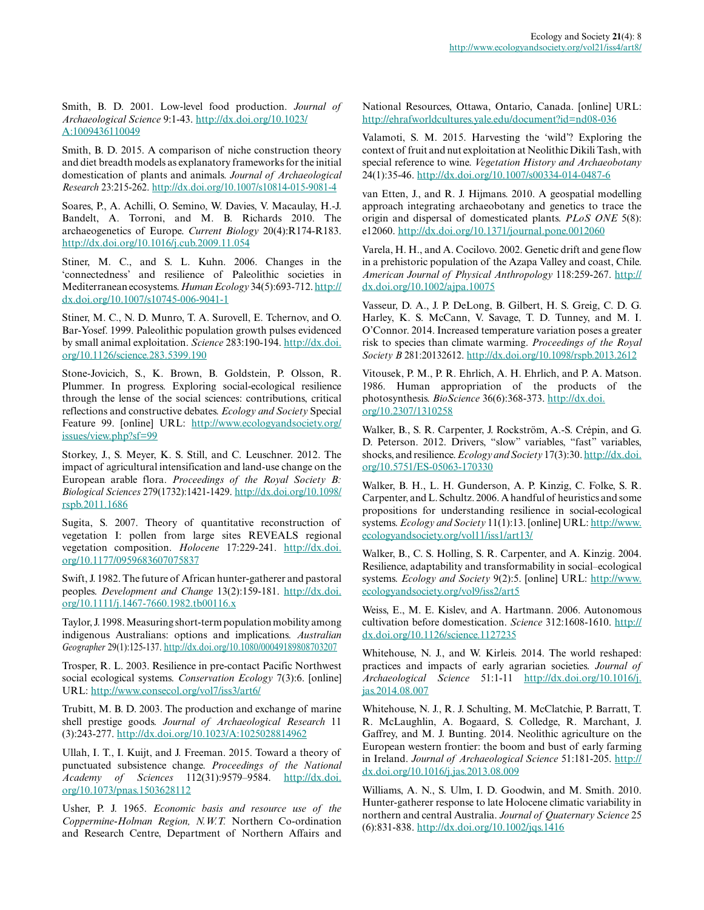Smith, B. D. 2001. Low-level food production. *Journal of Archaeological Science* 9:1-43. [http://dx.doi.org/10.1023/](http://dx.doi.org/10.1023%2FA%3A1009436110049) [A:1009436110049](http://dx.doi.org/10.1023%2FA%3A1009436110049) 

Smith, B. D. 2015. A comparison of niche construction theory and diet breadth models as explanatory frameworks for the initial domestication of plants and animals. *Journal of Archaeological Research* 23:215-262. [http://dx.doi.org/10.1007/s10814-015-9081-4](http://dx.doi.org/10.1007%2Fs10814-015-9081-4) 

Soares, P., A. Achilli, O. Semino, W. Davies, V. Macaulay, H.-J. Bandelt, A. Torroni, and M. B. Richards 2010. The archaeogenetics of Europe. *Current Biology* 20(4):R174-R183. [http://dx.doi.org/10.1016/j.cub.2009.11.054](http://dx.doi.org/10.1016%2Fj.cub.2009.11.054)

Stiner, M. C., and S. L. Kuhn. 2006. Changes in the 'connectedness' and resilience of Paleolithic societies in Mediterranean ecosystems. *Human Ecology* 34(5):693-712. [http://](http://dx.doi.org/10.1007%2Fs10745-006-9041-1) [dx.doi.org/10.1007/s10745-006-9041-1](http://dx.doi.org/10.1007%2Fs10745-006-9041-1) 

Stiner, M. C., N. D. Munro, T. A. Surovell, E. Tchernov, and O. Bar-Yosef. 1999. Paleolithic population growth pulses evidenced by small animal exploitation. *Science* 283:190-194. [http://dx.doi.](http://dx.doi.org/10.1126%2Fscience.283.5399.190) [org/10.1126/science.283.5399.190](http://dx.doi.org/10.1126%2Fscience.283.5399.190) 

Stone-Jovicich, S., K. Brown, B. Goldstein, P. Olsson, R. Plummer. In progress. Exploring social-ecological resilience through the lense of the social sciences: contributions, critical reflections and constructive debates. *Ecology and Society* Special Feature 99. [online] URL: [http://www.ecologyandsociety.org/](http://www.ecologyandsociety.org/issues/view.php?sf=99) [issues/view.php?sf=99](http://www.ecologyandsociety.org/issues/view.php?sf=99) 

Storkey, J., S. Meyer, K. S. Still, and C. Leuschner. 2012. The impact of agricultural intensification and land-use change on the European arable flora. *Proceedings of the Royal Society B: Biological Sciences* 279(1732):1421-1429. [http://dx.doi.org/10.1098/](http://dx.doi.org/10.1098%2Frspb.2011.1686) [rspb.2011.1686](http://dx.doi.org/10.1098%2Frspb.2011.1686)

Sugita, S. 2007. Theory of quantitative reconstruction of vegetation I: pollen from large sites REVEALS regional vegetation composition. *Holocene* 17:229-241. [http://dx.doi.](http://dx.doi.org/10.1177%2F0959683607075837) [org/10.1177/0959683607075837](http://dx.doi.org/10.1177%2F0959683607075837)

Swift, J. 1982. The future of African hunter-gatherer and pastoral peoples. *Development and Change* 13(2):159-181. [http://dx.doi.](http://dx.doi.org/10.1111%2Fj.1467-7660.1982.tb00116.x) [org/10.1111/j.1467-7660.1982.tb00116.x](http://dx.doi.org/10.1111%2Fj.1467-7660.1982.tb00116.x)

Taylor, J. 1998. Measuring short‐term population mobility among indigenous Australians: options and implications. *Australian Geographer* 29(1):125-137. [http://dx.doi.org/10.1080/00049189808703207](http://dx.doi.org/10.1080%2F00049189808703207)

Trosper, R. L. 2003. Resilience in pre-contact Pacific Northwest social ecological systems. *Conservation Ecology* 7(3):6. [online] URL:<http://www.consecol.org/vol7/iss3/art6/>

Trubitt, M. B. D. 2003. The production and exchange of marine shell prestige goods. *Journal of Archaeological Research* 11 (3):243-277. [http://dx.doi.org/10.1023/A:1025028814962](http://dx.doi.org/10.1023%2FA%3A1025028814962) 

Ullah, I. T., I. Kuijt, and J. Freeman. 2015. Toward a theory of punctuated subsistence change. *Proceedings of the National Academy of Sciences* 112(31):9579–9584. [http://dx.doi.](http://dx.doi.org/10.1073/pnas.1503628112) [org/10.1073/pnas.1503628112](http://dx.doi.org/10.1073/pnas.1503628112) 

Usher, P. J. 1965. *Economic basis and resource use of the Coppermine-Holman Region, N.W.T.* Northern Co-ordination and Research Centre, Department of Northern Affairs and National Resources, Ottawa, Ontario, Canada. [online] URL: <http://ehrafworldcultures.yale.edu/document?id=nd08-036>

Valamoti, S. M. 2015. Harvesting the 'wild'? Exploring the context of fruit and nut exploitation at Neolithic Dikili Tash, with special reference to wine. *Vegetation History and Archaeobotany* 24(1):35-46. [http://dx.doi.org/10.1007/s00334-014-0487-6](http://dx.doi.org/10.1007%2Fs00334-014-0487-6) 

van Etten, J., and R. J. Hijmans. 2010. A geospatial modelling approach integrating archaeobotany and genetics to trace the origin and dispersal of domesticated plants. *PLoS ONE* 5(8): e12060. [http://dx.doi.org/10.1371/journal.pone.0012060](http://dx.doi.org/10.1371%2Fjournal.pone.0012060) 

Varela, H. H., and A. Cocilovo. 2002. Genetic drift and gene flow in a prehistoric population of the Azapa Valley and coast, Chile. *American Journal of Physical Anthropology* 118:259-267. [http://](http://dx.doi.org/10.1002%2Fajpa.10075) [dx.doi.org/10.1002/ajpa.10075](http://dx.doi.org/10.1002%2Fajpa.10075)

Vasseur, D. A., J. P. DeLong, B. Gilbert, H. S. Greig, C. D. G. Harley, K. S. McCann, V. Savage, T. D. Tunney, and M. I. O'Connor. 2014. Increased temperature variation poses a greater risk to species than climate warming. *Proceedings of the Royal Society B* 281:20132612. [http://dx.doi.org/10.1098/rspb.2013.2612](http://dx.doi.org/10.1098%2Frspb.2013.2612) 

Vitousek, P. M., P. R. Ehrlich, A. H. Ehrlich, and P. A. Matson. 1986. Human appropriation of the products of the photosynthesis. *BioScience* 36(6):368-373. [http://dx.doi.](http://dx.doi.org/10.2307%2F1310258) [org/10.2307/1310258](http://dx.doi.org/10.2307%2F1310258) 

Walker, B., S. R. Carpenter, J. Rockström, A.-S. Crépin, and G. D. Peterson. 2012. Drivers, "slow" variables, "fast" variables, shocks, and resilience. *Ecology and Society* 17(3):30. [http://dx.doi.](http://dx.doi.org/10.5751%2FES-05063-170330) [org/10.5751/ES-05063-170330](http://dx.doi.org/10.5751%2FES-05063-170330) 

Walker, B. H., L. H. Gunderson, A. P. Kinzig, C. Folke, S. R. Carpenter, and L. Schultz. 2006. A handful of heuristics and some propositions for understanding resilience in social-ecological systems. *Ecology and Society* 11(1):13. [online] URL: [http://www.](http://www.ecologyandsociety.org/vol11/iss1/art13/) [ecologyandsociety.org/vol11/iss1/art13/](http://www.ecologyandsociety.org/vol11/iss1/art13/)

Walker, B., C. S. Holling, S. R. Carpenter, and A. Kinzig. 2004. Resilience, adaptability and transformability in social–ecological systems. *Ecology and Society* 9(2):5. [online] URL: [http://www.](http://www.ecologyandsociety.org/vol9/iss2/art5) [ecologyandsociety.org/vol9/iss2/art5](http://www.ecologyandsociety.org/vol9/iss2/art5) 

Weiss, E., M. E. Kislev, and A. Hartmann. 2006. Autonomous cultivation before domestication. *Science* 312:1608-1610. [http://](http://dx.doi.org/10.1126%2Fscience.1127235) [dx.doi.org/10.1126/science.1127235](http://dx.doi.org/10.1126%2Fscience.1127235) 

Whitehouse, N. J., and W. Kirleis. 2014. The world reshaped: practices and impacts of early agrarian societies. *Journal of Archaeological Science* 51:1-11 [http://dx.doi.org/10.1016/j.](http://dx.doi.org/10.1016%2Fj.jas.2014.08.007) [jas.2014.08.007](http://dx.doi.org/10.1016%2Fj.jas.2014.08.007) 

Whitehouse, N. J., R. J. Schulting, M. McClatchie, P. Barratt, T. R. McLaughlin, A. Bogaard, S. Colledge, R. Marchant, J. Gaffrey, and M. J. Bunting. 2014. Neolithic agriculture on the European western frontier: the boom and bust of early farming in Ireland. *Journal of Archaeological Science* 51:181-205. [http://](http://dx.doi.org/10.1016%2Fj.jas.2013.08.009) [dx.doi.org/10.1016/j.jas.2013.08.009](http://dx.doi.org/10.1016%2Fj.jas.2013.08.009)

Williams, A. N., S. Ulm, I. D. Goodwin, and M. Smith. 2010. Hunter-gatherer response to late Holocene climatic variability in northern and central Australia. *Journal of Quaternary Science* 25 (6):831-838. [http://dx.doi.org/10.1002/jqs.1416](http://dx.doi.org/10.1002%2Fjqs.1416)